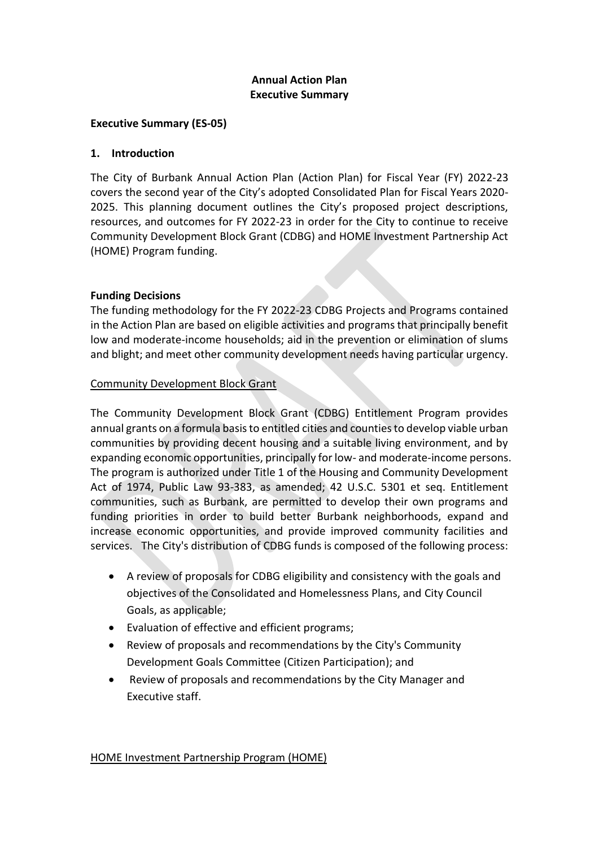# **Annual Action Plan Executive Summary**

#### **Executive Summary (ES-05)**

#### **1. Introduction**

The City of Burbank Annual Action Plan (Action Plan) for Fiscal Year (FY) 2022-23 covers the second year of the City's adopted Consolidated Plan for Fiscal Years 2020- 2025. This planning document outlines the City's proposed project descriptions, resources, and outcomes for FY 2022-23 in order for the City to continue to receive Community Development Block Grant (CDBG) and HOME Investment Partnership Act (HOME) Program funding.

#### **Funding Decisions**

The funding methodology for the FY 2022-23 CDBG Projects and Programs contained in the Action Plan are based on eligible activities and programs that principally benefit low and moderate-income households; aid in the prevention or elimination of slums and blight; and meet other community development needs having particular urgency.

#### Community Development Block Grant

The Community Development Block Grant (CDBG) Entitlement Program provides annual grants on a formula basis to entitled cities and counties to develop viable urban communities by providing decent housing and a suitable living environment, and by expanding economic opportunities, principally for low- and moderate-income persons. The program is authorized under Title 1 of the Housing and Community Development Act of 1974, Public Law 93-383, as amended; [42 U.S.C.](http://portal.hud.gov/hudportal/HUD/program_offices/comm_planning/communitydevelopment/rulesandregs/laws/sec5301) 5301 et seq. Entitlement communities, such as Burbank, are permitted to develop their own programs and funding priorities in order to build better Burbank neighborhoods, expand and increase economic opportunities, and provide improved community facilities and services. The City's distribution of CDBG funds is composed of the following process:

- A review of proposals for CDBG eligibility and consistency with the goals and objectives of the Consolidated and Homelessness Plans, and City Council Goals, as applicable;
- Evaluation of effective and efficient programs;
- Review of proposals and recommendations by the City's Community Development Goals Committee (Citizen Participation); and
- Review of proposals and recommendations by the City Manager and Executive staff.

#### HOME Investment Partnership Program (HOME)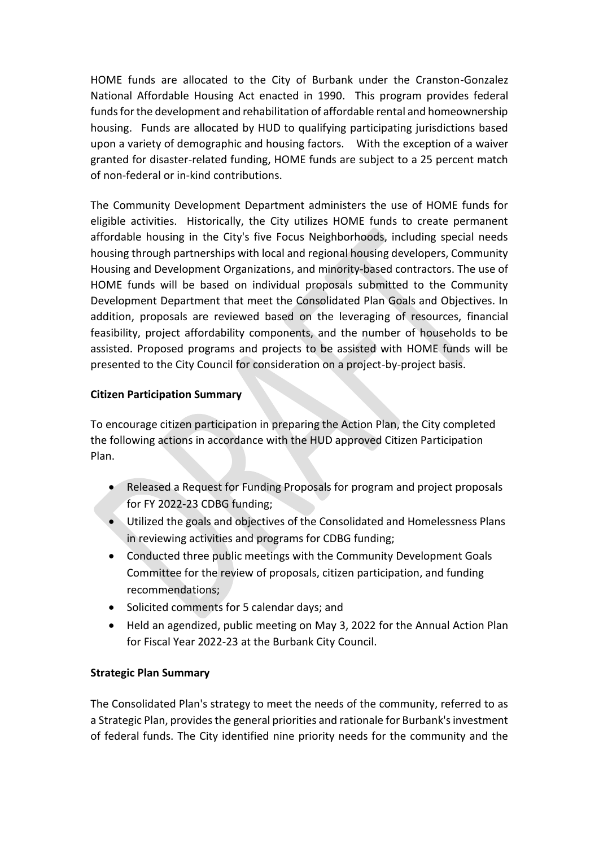HOME funds are allocated to the City of Burbank under the Cranston-Gonzalez National Affordable Housing Act enacted in 1990. This program provides federal funds for the development and rehabilitation of affordable rental and homeownership housing. Funds are allocated by HUD to qualifying participating jurisdictions based upon a variety of demographic and housing factors. With the exception of a waiver granted for disaster-related funding, HOME funds are subject to a 25 percent match of non-federal or in-kind contributions.

The Community Development Department administers the use of HOME funds for eligible activities. Historically, the City utilizes HOME funds to create permanent affordable housing in the City's five Focus Neighborhoods, including special needs housing through partnerships with local and regional housing developers, Community Housing and Development Organizations, and minority-based contractors. The use of HOME funds will be based on individual proposals submitted to the Community Development Department that meet the Consolidated Plan Goals and Objectives. In addition, proposals are reviewed based on the leveraging of resources, financial feasibility, project affordability components, and the number of households to be assisted. Proposed programs and projects to be assisted with HOME funds will be presented to the City Council for consideration on a project-by-project basis.

# **Citizen Participation Summary**

To encourage citizen participation in preparing the Action Plan, the City completed the following actions in accordance with the HUD approved Citizen Participation Plan.

- Released a Request for Funding Proposals for program and project proposals for FY 2022-23 CDBG funding;
- Utilized the goals and objectives of the Consolidated and Homelessness Plans in reviewing activities and programs for CDBG funding;
- Conducted three public meetings with the Community Development Goals Committee for the review of proposals, citizen participation, and funding recommendations;
- Solicited comments for 5 calendar days; and
- Held an agendized, public meeting on May 3, 2022 for the Annual Action Plan for Fiscal Year 2022-23 at the Burbank City Council.

## **Strategic Plan Summary**

The Consolidated Plan's strategy to meet the needs of the community, referred to as a Strategic Plan, provides the general priorities and rationale for Burbank's investment of federal funds. The City identified nine priority needs for the community and the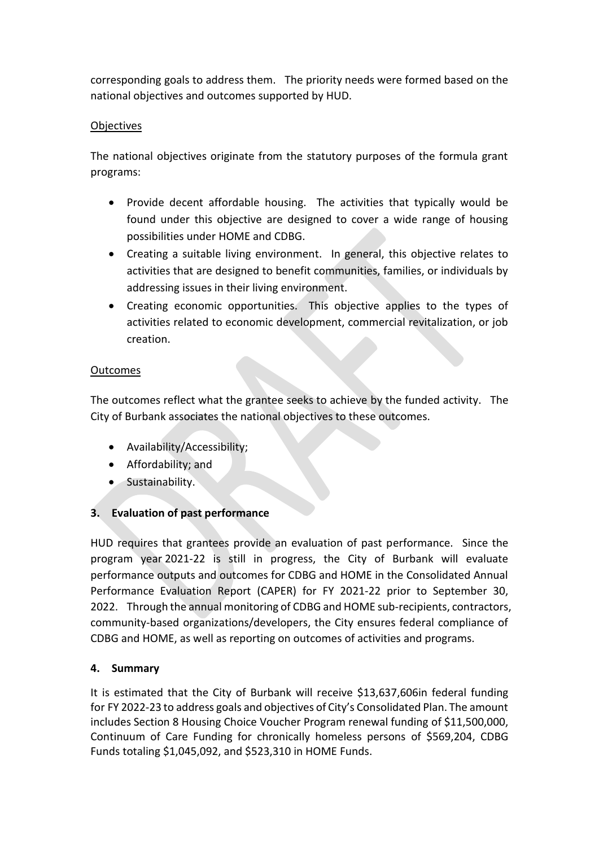corresponding goals to address them. The priority needs were formed based on the national objectives and outcomes supported by HUD.

# **Objectives**

The national objectives originate from the statutory purposes of the formula grant programs:

- Provide decent affordable housing. The activities that typically would be found under this objective are designed to cover a wide range of housing possibilities under HOME and CDBG.
- Creating a suitable living environment. In general, this objective relates to activities that are designed to benefit communities, families, or individuals by addressing issues in their living environment.
- Creating economic opportunities. This objective applies to the types of activities related to economic development, commercial revitalization, or job creation.

# **Outcomes**

The outcomes reflect what the grantee seeks to achieve by the funded activity. The City of Burbank associates the national objectives to these outcomes.

- Availability/Accessibility;
- Affordability; and
- Sustainability.

# **3. Evaluation of past performance**

HUD requires that grantees provide an evaluation of past performance. Since the program year 2021-22 is still in progress, the City of Burbank will evaluate performance outputs and outcomes for CDBG and HOME in the Consolidated Annual Performance Evaluation Report (CAPER) for FY 2021-22 prior to September 30, 2022. Through the annual monitoring of CDBG and HOME sub-recipients, contractors, community-based organizations/developers, the City ensures federal compliance of CDBG and HOME, as well as reporting on outcomes of activities and programs.

## **4. Summary**

It is estimated that the City of Burbank will receive \$13,637,606in federal funding for FY 2022-23 to address goals and objectives of City's Consolidated Plan. The amount includes Section 8 Housing Choice Voucher Program renewal funding of \$11,500,000, Continuum of Care Funding for chronically homeless persons of \$569,204, CDBG Funds totaling \$1,045,092, and \$523,310 in HOME Funds.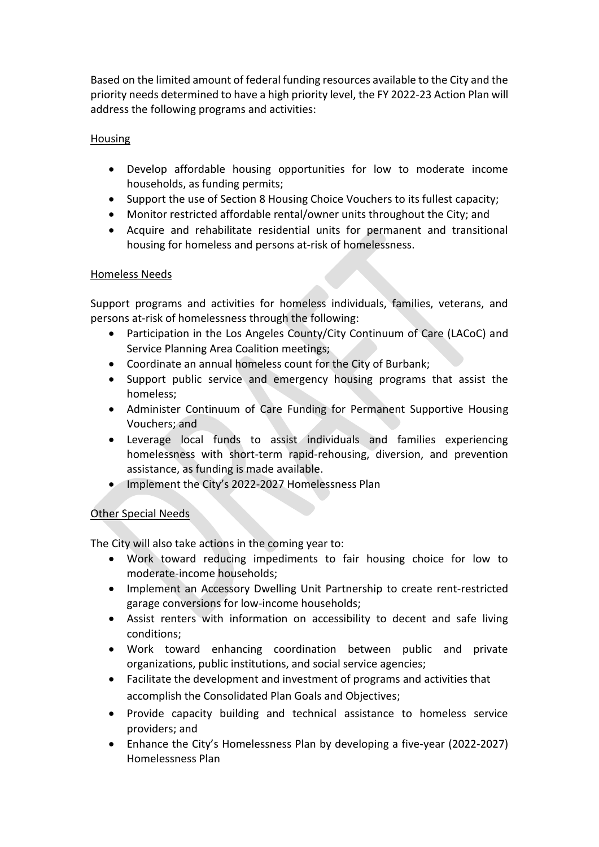Based on the limited amount of federal funding resources available to the City and the priority needs determined to have a high priority level, the FY 2022-23 Action Plan will address the following programs and activities:

#### Housing

- Develop affordable housing opportunities for low to moderate income households, as funding permits;
- Support the use of Section 8 Housing Choice Vouchers to its fullest capacity;
- Monitor restricted affordable rental/owner units throughout the City; and
- Acquire and rehabilitate residential units for permanent and transitional housing for homeless and persons at-risk of homelessness.

#### Homeless Needs

Support programs and activities for homeless individuals, families, veterans, and persons at-risk of homelessness through the following:

- Participation in the Los Angeles County/City Continuum of Care (LACoC) and Service Planning Area Coalition meetings;
- Coordinate an annual homeless count for the City of Burbank;
- Support public service and emergency housing programs that assist the homeless;
- Administer Continuum of Care Funding for Permanent Supportive Housing Vouchers; and
- Leverage local funds to assist individuals and families experiencing homelessness with short-term rapid-rehousing, diversion, and prevention assistance, as funding is made available.
- Implement the City's 2022-2027 Homelessness Plan

## Other Special Needs

The City will also take actions in the coming year to:

- Work toward reducing impediments to fair housing choice for low to moderate-income households;
- Implement an Accessory Dwelling Unit Partnership to create rent-restricted garage conversions for low-income households;
- Assist renters with information on accessibility to decent and safe living conditions;
- Work toward enhancing coordination between public and private organizations, public institutions, and social service agencies;
- Facilitate the development and investment of programs and activities that accomplish the Consolidated Plan Goals and Objectives;
- Provide capacity building and technical assistance to homeless service providers; and
- Enhance the City's Homelessness Plan by developing a five-year (2022-2027) Homelessness Plan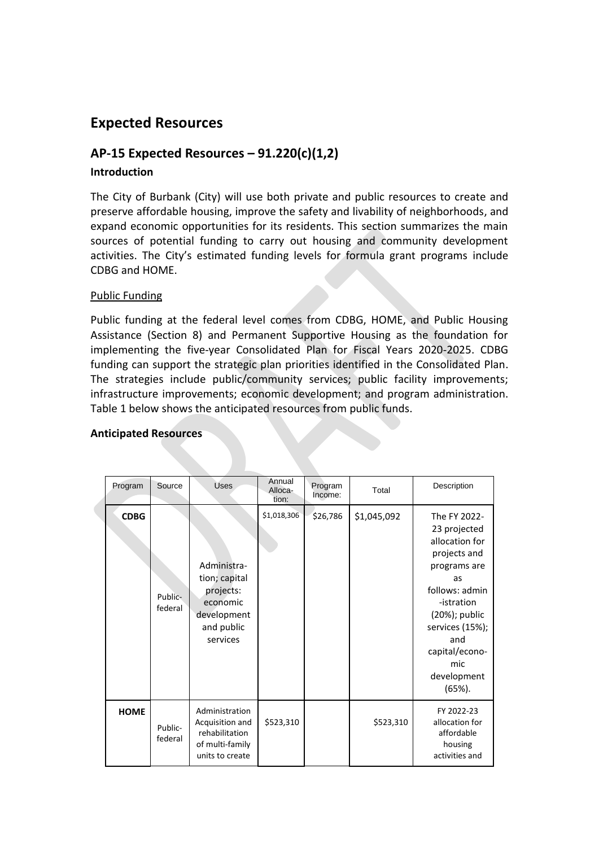# **Expected Resources**

# **AP-15 Expected Resources – 91.220(c)(1,2)**

# **Introduction**

The City of Burbank (City) will use both private and public resources to create and preserve affordable housing, improve the safety and livability of neighborhoods, and expand economic opportunities for its residents. This section summarizes the main sources of potential funding to carry out housing and community development activities. The City's estimated funding levels for formula grant programs include CDBG and HOME.

#### Public Funding

Public funding at the federal level comes from CDBG, HOME, and Public Housing Assistance (Section 8) and Permanent Supportive Housing as the foundation for implementing the five-year Consolidated Plan for Fiscal Years 2020-2025. CDBG funding can support the strategic plan priorities identified in the Consolidated Plan. The strategies include public/community services; public facility improvements; infrastructure improvements; economic development; and program administration. Table 1 below shows the anticipated resources from public funds.

| Program     | Source             | <b>Uses</b>                                                                                    | Annual<br>Alloca-<br>tion: | Program<br>Income: | Total       | Description                                                                                                                                                                                                          |
|-------------|--------------------|------------------------------------------------------------------------------------------------|----------------------------|--------------------|-------------|----------------------------------------------------------------------------------------------------------------------------------------------------------------------------------------------------------------------|
| <b>CDBG</b> | Public-<br>federal | Administra-<br>tion; capital<br>projects:<br>economic<br>development<br>and public<br>services | \$1,018,306                | \$26,786           | \$1,045,092 | The FY 2022-<br>23 projected<br>allocation for<br>projects and<br>programs are<br>as<br>follows: admin<br>-istration<br>(20%); public<br>services (15%);<br>and<br>capital/econo-<br>mic<br>development<br>$(65%)$ . |
| <b>HOME</b> | Public-<br>federal | Administration<br>Acquisition and<br>rehabilitation<br>of multi-family<br>units to create      | \$523,310                  |                    | \$523,310   | FY 2022-23<br>allocation for<br>affordable<br>housing<br>activities and                                                                                                                                              |

#### **Anticipated Resources**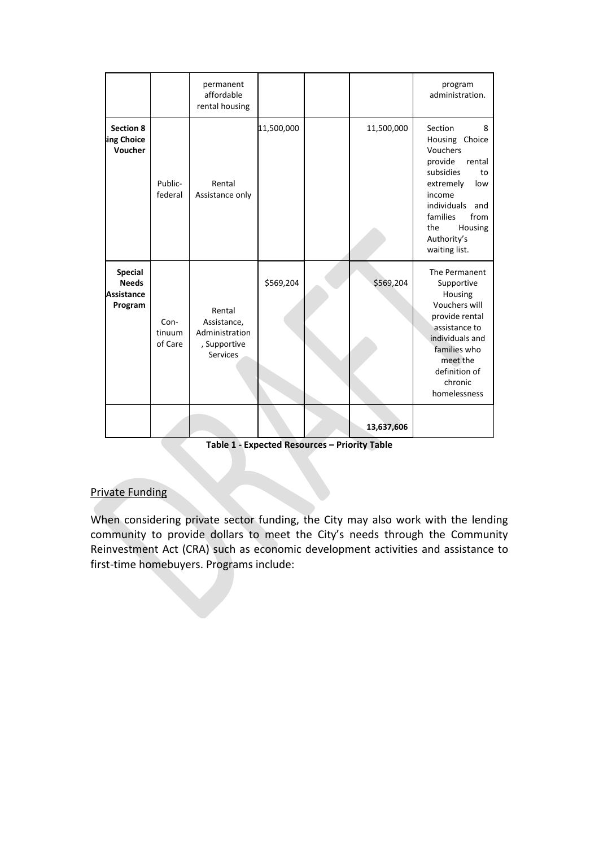|                                                                |                           | permanent<br>affordable<br>rental housing                                  |            |            | program<br>administration.                                                                                                                                                                                   |
|----------------------------------------------------------------|---------------------------|----------------------------------------------------------------------------|------------|------------|--------------------------------------------------------------------------------------------------------------------------------------------------------------------------------------------------------------|
| <b>Section 8</b><br>ing Choice<br>Voucher                      | Public-<br>federal        | Rental<br>Assistance only                                                  | 11,500,000 | 11,500,000 | Section<br>8<br>Housing Choice<br>Vouchers<br>rental<br>provide<br>subsidies<br>to<br>extremely<br>low<br>income<br>individuals<br>and<br>from<br>families<br>Housing<br>the<br>Authority's<br>waiting list. |
| <b>Special</b><br><b>Needs</b><br><b>Assistance</b><br>Program | Con-<br>tinuum<br>of Care | Rental<br>Assistance,<br>Administration<br>, Supportive<br><b>Services</b> | \$569,204  | \$569,204  | The Permanent<br>Supportive<br>Housing<br>Vouchers will<br>provide rental<br>assistance to<br>individuals and<br>families who<br>meet the<br>definition of<br>chronic<br>homelessness                        |
|                                                                |                           |                                                                            |            | 13,637,606 |                                                                                                                                                                                                              |

**Table 1 - Expected Resources – Priority Table**

## Private Funding

When considering private sector funding, the City may also work with the lending community to provide dollars to meet the City's needs through the Community Reinvestment Act (CRA) such as economic development activities and assistance to first-time homebuyers. Programs include: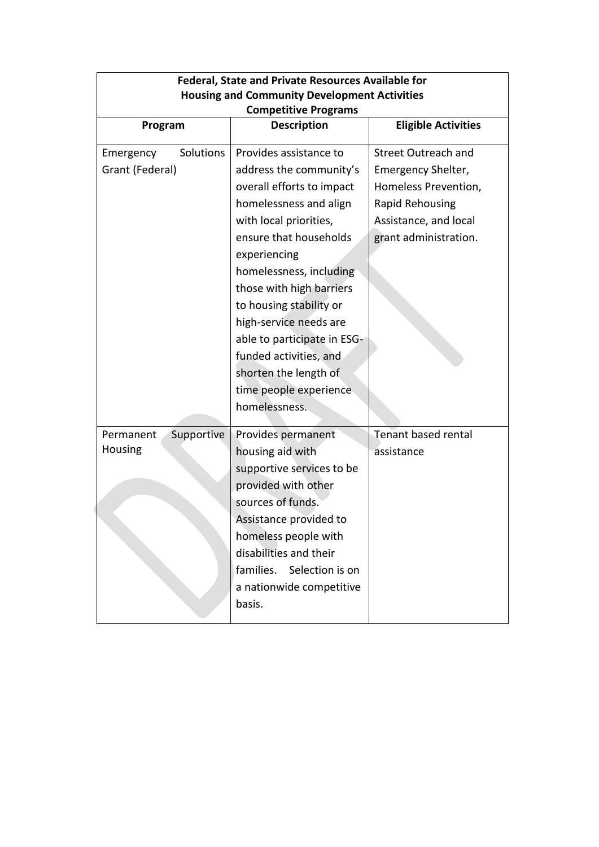|                 | <b>Federal, State and Private Resources Available for</b> |                                                     |                            |  |
|-----------------|-----------------------------------------------------------|-----------------------------------------------------|----------------------------|--|
|                 |                                                           | <b>Housing and Community Development Activities</b> |                            |  |
|                 |                                                           | <b>Competitive Programs</b>                         |                            |  |
| Program         |                                                           | <b>Description</b>                                  | <b>Eligible Activities</b> |  |
| Emergency       | Solutions                                                 | Provides assistance to                              | <b>Street Outreach and</b> |  |
| Grant (Federal) |                                                           | address the community's                             | Emergency Shelter,         |  |
|                 |                                                           | overall efforts to impact                           | Homeless Prevention,       |  |
|                 |                                                           | homelessness and align                              | Rapid Rehousing            |  |
|                 |                                                           | with local priorities,                              | Assistance, and local      |  |
|                 |                                                           | ensure that households                              | grant administration.      |  |
|                 |                                                           | experiencing                                        |                            |  |
|                 |                                                           | homelessness, including                             |                            |  |
|                 |                                                           | those with high barriers                            |                            |  |
|                 |                                                           | to housing stability or                             |                            |  |
|                 |                                                           | high-service needs are                              |                            |  |
|                 |                                                           | able to participate in ESG-                         |                            |  |
|                 |                                                           | funded activities, and                              |                            |  |
|                 |                                                           | shorten the length of                               |                            |  |
|                 |                                                           | time people experience                              |                            |  |
|                 |                                                           | homelessness.                                       |                            |  |
| Permanent       | Supportive                                                | Provides permanent                                  | <b>Tenant based rental</b> |  |
| Housing         |                                                           | housing aid with                                    | assistance                 |  |
|                 |                                                           | supportive services to be                           |                            |  |
|                 |                                                           | provided with other                                 |                            |  |
|                 |                                                           | sources of funds.                                   |                            |  |
|                 |                                                           | Assistance provided to                              |                            |  |
|                 |                                                           | homeless people with                                |                            |  |
|                 |                                                           | disabilities and their                              |                            |  |
|                 |                                                           | families. Selection is on                           |                            |  |
|                 |                                                           | a nationwide competitive                            |                            |  |
|                 |                                                           | basis.                                              |                            |  |
|                 |                                                           |                                                     |                            |  |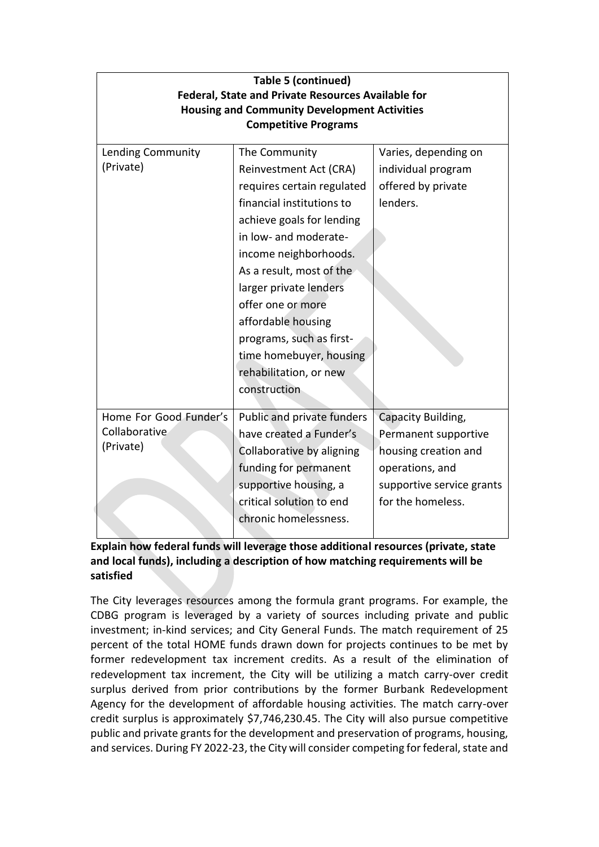| <b>Table 5 (continued)</b><br><b>Federal, State and Private Resources Available for</b><br><b>Housing and Community Development Activities</b><br><b>Competitive Programs</b> |                            |                           |  |
|-------------------------------------------------------------------------------------------------------------------------------------------------------------------------------|----------------------------|---------------------------|--|
| Lending Community                                                                                                                                                             | The Community              | Varies, depending on      |  |
| (Private)                                                                                                                                                                     | Reinvestment Act (CRA)     | individual program        |  |
|                                                                                                                                                                               | requires certain regulated | offered by private        |  |
|                                                                                                                                                                               | financial institutions to  | lenders.                  |  |
|                                                                                                                                                                               | achieve goals for lending  |                           |  |
|                                                                                                                                                                               | in low- and moderate-      |                           |  |
|                                                                                                                                                                               | income neighborhoods.      |                           |  |
|                                                                                                                                                                               | As a result, most of the   |                           |  |
|                                                                                                                                                                               | larger private lenders     |                           |  |
|                                                                                                                                                                               | offer one or more          |                           |  |
|                                                                                                                                                                               | affordable housing         |                           |  |
|                                                                                                                                                                               | programs, such as first-   |                           |  |
|                                                                                                                                                                               | time homebuyer, housing    |                           |  |
|                                                                                                                                                                               | rehabilitation, or new     |                           |  |
|                                                                                                                                                                               | construction               |                           |  |
|                                                                                                                                                                               |                            |                           |  |
| Home For Good Funder's<br>Collaborative                                                                                                                                       | Public and private funders | Capacity Building,        |  |
| (Private)                                                                                                                                                                     | have created a Funder's    | Permanent supportive      |  |
|                                                                                                                                                                               | Collaborative by aligning  | housing creation and      |  |
|                                                                                                                                                                               | funding for permanent      | operations, and           |  |
|                                                                                                                                                                               | supportive housing, a      | supportive service grants |  |
|                                                                                                                                                                               | critical solution to end   | for the homeless.         |  |
|                                                                                                                                                                               | chronic homelessness.      |                           |  |
|                                                                                                                                                                               |                            |                           |  |

# **Explain how federal funds will leverage those additional resources (private, state and local funds), including a description of how matching requirements will be satisfied**

The City leverages resources among the formula grant programs. For example, the CDBG program is leveraged by a variety of sources including private and public investment; in-kind services; and City General Funds. The match requirement of 25 percent of the total HOME funds drawn down for projects continues to be met by former redevelopment tax increment credits. As a result of the elimination of redevelopment tax increment, the City will be utilizing a match carry-over credit surplus derived from prior contributions by the former Burbank Redevelopment Agency for the development of affordable housing activities. The match carry-over credit surplus is approximately \$7,746,230.45. The City will also pursue competitive public and private grants for the development and preservation of programs, housing, and services. During FY 2022-23, the City will consider competing for federal, state and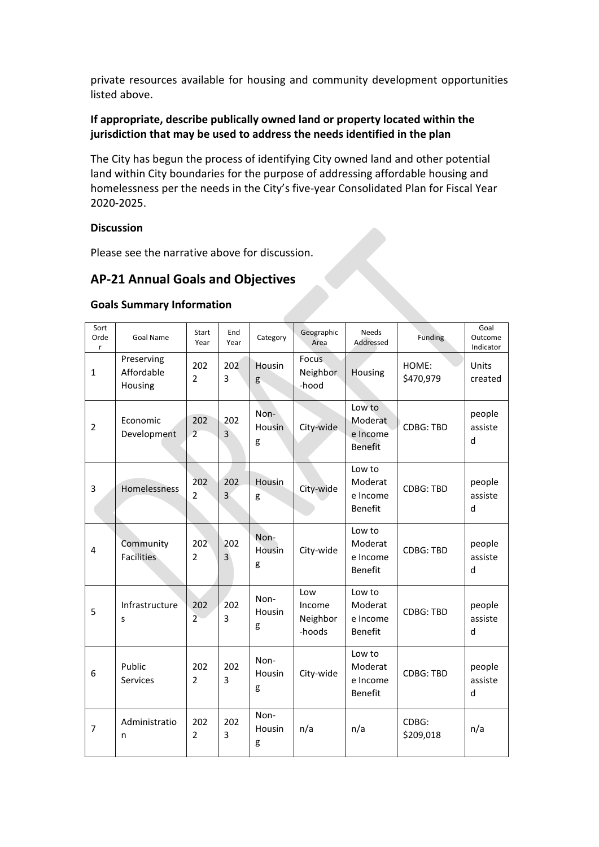private resources available for housing and community development opportunities listed above.

# **If appropriate, describe publically owned land or property located within the jurisdiction that may be used to address the needs identified in the plan**

The City has begun the process of identifying City owned land and other potential land within City boundaries for the purpose of addressing affordable housing and homelessness per the needs in the City's five-year Consolidated Plan for Fiscal Year 2020-2025.

#### **Discussion**

Please see the narrative above for discussion.

# **AP-21 Annual Goals and Objectives**

#### **Goals Summary Information**

| Sort<br>Orde<br>$\mathsf{r}$ | Goal Name                           | Start<br>Year         | End<br>Year | Category            | Geographic<br>Area                  | <b>Needs</b><br>Addressed                       | Funding            | Goal<br>Outcome<br>Indicator |
|------------------------------|-------------------------------------|-----------------------|-------------|---------------------|-------------------------------------|-------------------------------------------------|--------------------|------------------------------|
| $\mathbf{1}$                 | Preserving<br>Affordable<br>Housing | 202<br>$\overline{2}$ | 202<br>3    | Housin<br>g         | <b>Focus</b><br>Neighbor<br>-hood   | Housing                                         | HOME:<br>\$470,979 | Units<br>created             |
| $\overline{2}$               | Economic<br>Development             | 202<br>$\overline{2}$ | 202<br>3    | Non-<br>Housin<br>g | City-wide                           | Low to<br>Moderat<br>e Income<br><b>Benefit</b> | <b>CDBG: TBD</b>   | people<br>assiste<br>d       |
| 3                            | Homelessness                        | 202<br>2              | 202<br>3    | Housin<br>g         | City-wide                           | Low to<br>Moderat<br>e Income<br><b>Benefit</b> | CDBG: TBD          | people<br>assiste<br>d       |
| 4                            | Community<br><b>Facilities</b>      | 202<br>$\overline{2}$ | 202<br>3    | Non-<br>Housin<br>g | City-wide                           | Low to<br>Moderat<br>e Income<br><b>Benefit</b> | <b>CDBG: TBD</b>   | people<br>assiste<br>d       |
| 5                            | Infrastructure<br>S                 | 202<br>$\overline{2}$ | 202<br>3    | Non-<br>Housin<br>g | Low<br>Income<br>Neighbor<br>-hoods | Low to<br>Moderat<br>e Income<br>Benefit        | <b>CDBG: TBD</b>   | people<br>assiste<br>d       |
| 6                            | Public<br>Services                  | 202<br>$\overline{2}$ | 202<br>3    | Non-<br>Housin<br>g | City-wide                           | Low to<br>Moderat<br>e Income<br>Benefit        | <b>CDBG: TBD</b>   | people<br>assiste<br>d       |
| $\overline{7}$               | Administratio<br>n                  | 202<br>$\overline{2}$ | 202<br>3    | Non-<br>Housin<br>g | n/a                                 | n/a                                             | CDBG:<br>\$209,018 | n/a                          |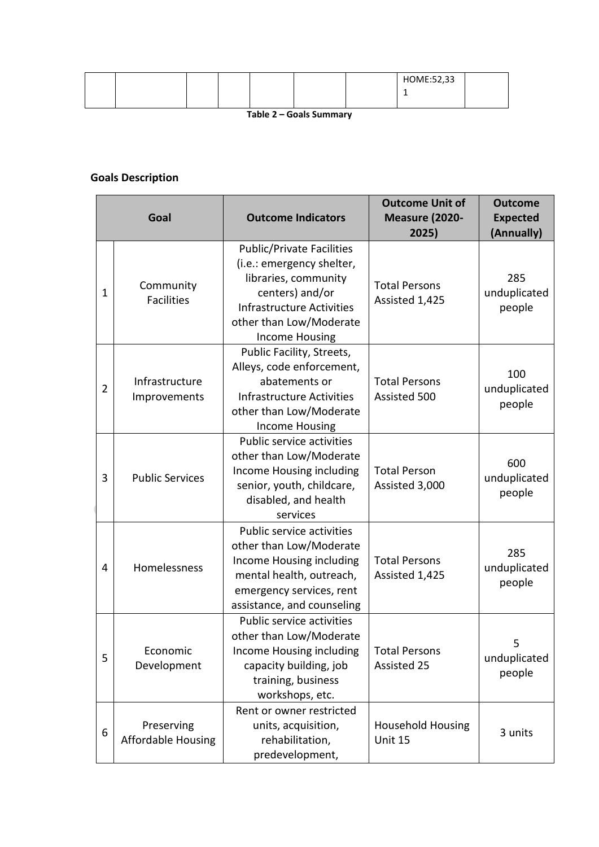|  |  |  | HOME:52,33 |  |
|--|--|--|------------|--|
|  |  |  |            |  |
|  |  |  |            |  |

**Table 2 – Goals Summary**

# **Goals Description**

|                | Goal                                    | <b>Outcome Indicators</b>                                                                                                                                                                        | <b>Outcome Unit of</b><br><b>Measure (2020-</b><br>2025) | <b>Outcome</b><br><b>Expected</b><br>(Annually) |
|----------------|-----------------------------------------|--------------------------------------------------------------------------------------------------------------------------------------------------------------------------------------------------|----------------------------------------------------------|-------------------------------------------------|
| $\mathbf{1}$   | Community<br><b>Facilities</b>          | <b>Public/Private Facilities</b><br>(i.e.: emergency shelter,<br>libraries, community<br>centers) and/or<br><b>Infrastructure Activities</b><br>other than Low/Moderate<br><b>Income Housing</b> | <b>Total Persons</b><br>Assisted 1,425                   | 285<br>unduplicated<br>people                   |
| $\overline{2}$ | Infrastructure<br>Improvements          | Public Facility, Streets,<br>Alleys, code enforcement,<br>abatements or<br>Infrastructure Activities<br>other than Low/Moderate<br><b>Income Housing</b>                                         | <b>Total Persons</b><br>Assisted 500                     | 100<br>unduplicated<br>people                   |
| 3              | <b>Public Services</b>                  | Public service activities<br>other than Low/Moderate<br>Income Housing including<br>senior, youth, childcare,<br>disabled, and health<br>services                                                | <b>Total Person</b><br>Assisted 3,000                    | 600<br>unduplicated<br>people                   |
| 4              | Homelessness                            | Public service activities<br>other than Low/Moderate<br>Income Housing including<br>mental health, outreach,<br>emergency services, rent<br>assistance, and counseling                           | <b>Total Persons</b><br>Assisted 1,425                   | 285<br>unduplicated<br>people                   |
| 5              | Economic<br>Development                 | Public service activities<br>other than Low/Moderate<br>Income Housing including<br>capacity building, job<br>training, business<br>workshops, etc.                                              | <b>Total Persons</b><br>Assisted 25                      | 5<br>unduplicated<br>people                     |
| 6              | Preserving<br><b>Affordable Housing</b> | Rent or owner restricted<br>units, acquisition,<br>rehabilitation,<br>predevelopment,                                                                                                            | <b>Household Housing</b><br>Unit 15                      | 3 units                                         |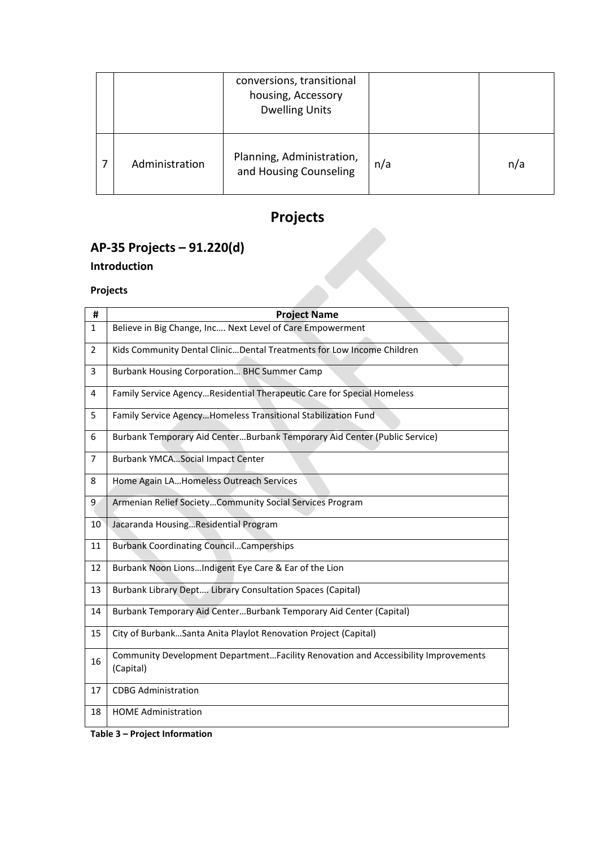|  |                | conversions, transitional<br>housing, Accessory<br><b>Dwelling Units</b> |     |     |
|--|----------------|--------------------------------------------------------------------------|-----|-----|
|  | Administration | Planning, Administration,<br>and Housing Counseling                      | n/a | n/a |

# **Projects**

# **AP-35 Projects – 91.220(d)**

# **Introduction**

## **Projects**

| $AP-35$ Projects $-91.220(0)$ |                                                                                                 |  |  |  |
|-------------------------------|-------------------------------------------------------------------------------------------------|--|--|--|
|                               | Introduction                                                                                    |  |  |  |
|                               |                                                                                                 |  |  |  |
|                               | <b>Projects</b>                                                                                 |  |  |  |
| #                             | <b>Project Name</b>                                                                             |  |  |  |
| $\mathbf{1}$                  | Believe in Big Change, Inc Next Level of Care Empowerment                                       |  |  |  |
| $\overline{2}$                | Kids Community Dental ClinicDental Treatments for Low Income Children                           |  |  |  |
| 3                             | Burbank Housing Corporation BHC Summer Camp                                                     |  |  |  |
| 4                             | Family Service AgencyResidential Therapeutic Care for Special Homeless                          |  |  |  |
| 5                             | Family Service AgencyHomeless Transitional Stabilization Fund                                   |  |  |  |
| 6                             | Burbank Temporary Aid CenterBurbank Temporary Aid Center (Public Service)                       |  |  |  |
| 7                             | <b>Burbank YMCASocial Impact Center</b>                                                         |  |  |  |
| 8                             | Home Again LAHomeless Outreach Services                                                         |  |  |  |
| 9                             | Armenian Relief SocietyCommunity Social Services Program                                        |  |  |  |
| 10                            | Jacaranda HousingResidential Program                                                            |  |  |  |
| 11                            | <b>Burbank Coordinating CouncilCamperships</b>                                                  |  |  |  |
| 12                            | Burbank Noon LionsIndigent Eye Care & Ear of the Lion                                           |  |  |  |
| 13                            | <b>Burbank Library Dept Library Consultation Spaces (Capital)</b>                               |  |  |  |
| 14                            | Burbank Temporary Aid CenterBurbank Temporary Aid Center (Capital)                              |  |  |  |
| 15                            | City of BurbankSanta Anita Playlot Renovation Project (Capital)                                 |  |  |  |
| 16                            | Community Development DepartmentFacility Renovation and Accessibility Improvements<br>(Capital) |  |  |  |
| 17                            | <b>CDBG Administration</b>                                                                      |  |  |  |
| 18                            | <b>HOME Administration</b>                                                                      |  |  |  |

**Table 3 – Project Information**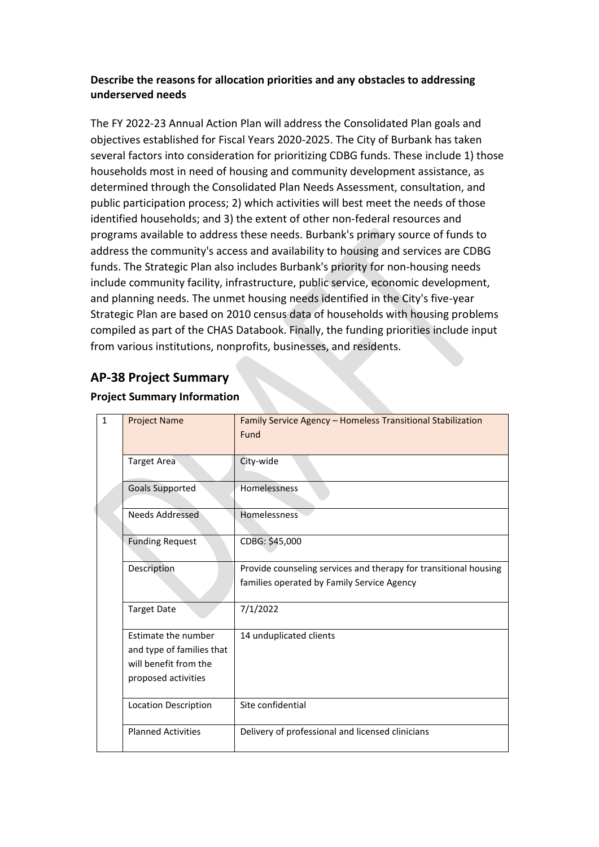# **Describe the reasons for allocation priorities and any obstacles to addressing underserved needs**

The FY 2022-23 Annual Action Plan will address the Consolidated Plan goals and objectives established for Fiscal Years 2020-2025. The City of Burbank has taken several factors into consideration for prioritizing CDBG funds. These include 1) those households most in need of housing and community development assistance, as determined through the Consolidated Plan Needs Assessment, consultation, and public participation process; 2) which activities will best meet the needs of those identified households; and 3) the extent of other non-federal resources and programs available to address these needs. Burbank's primary source of funds to address the community's access and availability to housing and services are CDBG funds. The Strategic Plan also includes Burbank's priority for non-housing needs include community facility, infrastructure, public service, economic development, and planning needs. The unmet housing needs identified in the City's five-year Strategic Plan are based on 2010 census data of households with housing problems compiled as part of the CHAS Databook. Finally, the funding priorities include input from various institutions, nonprofits, businesses, and residents.

# **AP-38 Project Summary**

## **Project Summary Information**

| $\mathbf{1}$ | <b>Project Name</b>                                                                              | Family Service Agency - Homeless Transitional Stabilization<br>Fund                                            |
|--------------|--------------------------------------------------------------------------------------------------|----------------------------------------------------------------------------------------------------------------|
|              | <b>Target Area</b>                                                                               | City-wide                                                                                                      |
|              | <b>Goals Supported</b>                                                                           | Homelessness                                                                                                   |
|              | Needs Addressed                                                                                  | <b>Homelessness</b>                                                                                            |
|              | <b>Funding Request</b>                                                                           | CDBG: \$45,000                                                                                                 |
|              | Description                                                                                      | Provide counseling services and therapy for transitional housing<br>families operated by Family Service Agency |
|              | <b>Target Date</b>                                                                               | 7/1/2022                                                                                                       |
|              | Estimate the number<br>and type of families that<br>will benefit from the<br>proposed activities | 14 unduplicated clients                                                                                        |
|              | <b>Location Description</b>                                                                      | Site confidential                                                                                              |
|              | <b>Planned Activities</b>                                                                        | Delivery of professional and licensed clinicians                                                               |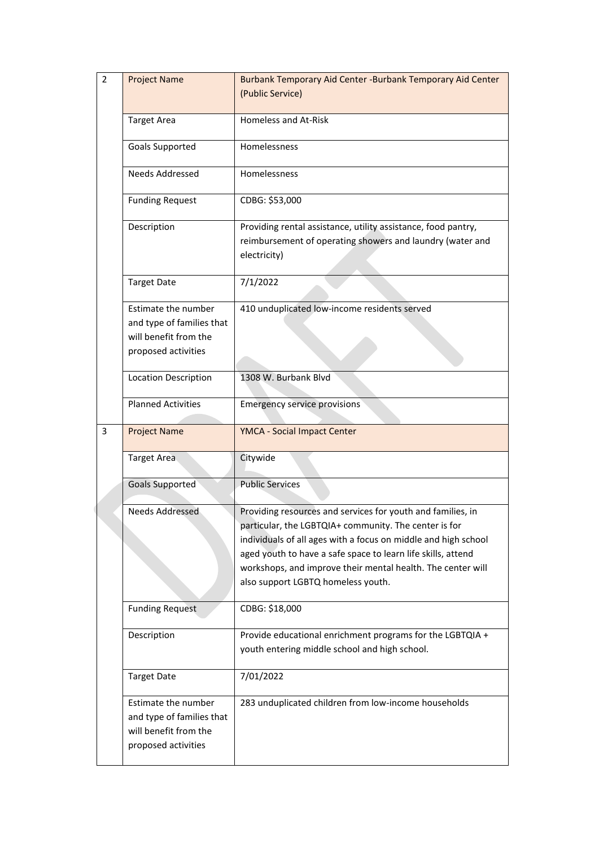| $\overline{2}$ | <b>Project Name</b>                                                                              | Burbank Temporary Aid Center - Burbank Temporary Aid Center<br>(Public Service)                                                                                                                                                                                                                                                                             |
|----------------|--------------------------------------------------------------------------------------------------|-------------------------------------------------------------------------------------------------------------------------------------------------------------------------------------------------------------------------------------------------------------------------------------------------------------------------------------------------------------|
|                | <b>Target Area</b>                                                                               | <b>Homeless and At-Risk</b>                                                                                                                                                                                                                                                                                                                                 |
|                | Goals Supported                                                                                  | Homelessness                                                                                                                                                                                                                                                                                                                                                |
|                | Needs Addressed                                                                                  | Homelessness                                                                                                                                                                                                                                                                                                                                                |
|                | <b>Funding Request</b>                                                                           | CDBG: \$53,000                                                                                                                                                                                                                                                                                                                                              |
|                | Description                                                                                      | Providing rental assistance, utility assistance, food pantry,<br>reimbursement of operating showers and laundry (water and<br>electricity)                                                                                                                                                                                                                  |
|                | <b>Target Date</b>                                                                               | 7/1/2022                                                                                                                                                                                                                                                                                                                                                    |
|                | Estimate the number<br>and type of families that<br>will benefit from the<br>proposed activities | 410 unduplicated low-income residents served                                                                                                                                                                                                                                                                                                                |
|                | <b>Location Description</b>                                                                      | 1308 W. Burbank Blvd                                                                                                                                                                                                                                                                                                                                        |
|                | <b>Planned Activities</b>                                                                        | <b>Emergency service provisions</b>                                                                                                                                                                                                                                                                                                                         |
| 3              | <b>Project Name</b>                                                                              | YMCA - Social Impact Center                                                                                                                                                                                                                                                                                                                                 |
|                | Target Area                                                                                      | Citywide                                                                                                                                                                                                                                                                                                                                                    |
|                | <b>Goals Supported</b>                                                                           | <b>Public Services</b>                                                                                                                                                                                                                                                                                                                                      |
|                | <b>Needs Addressed</b>                                                                           | Providing resources and services for youth and families, in<br>particular, the LGBTQIA+ community. The center is for<br>individuals of all ages with a focus on middle and high school<br>aged youth to have a safe space to learn life skills, attend<br>workshops, and improve their mental health. The center will<br>also support LGBTQ homeless youth. |
|                | <b>Funding Request</b>                                                                           | CDBG: \$18,000                                                                                                                                                                                                                                                                                                                                              |
|                | Description                                                                                      | Provide educational enrichment programs for the LGBTQIA +<br>youth entering middle school and high school.                                                                                                                                                                                                                                                  |
|                | <b>Target Date</b>                                                                               | 7/01/2022                                                                                                                                                                                                                                                                                                                                                   |
|                | Estimate the number<br>and type of families that<br>will benefit from the<br>proposed activities | 283 unduplicated children from low-income households                                                                                                                                                                                                                                                                                                        |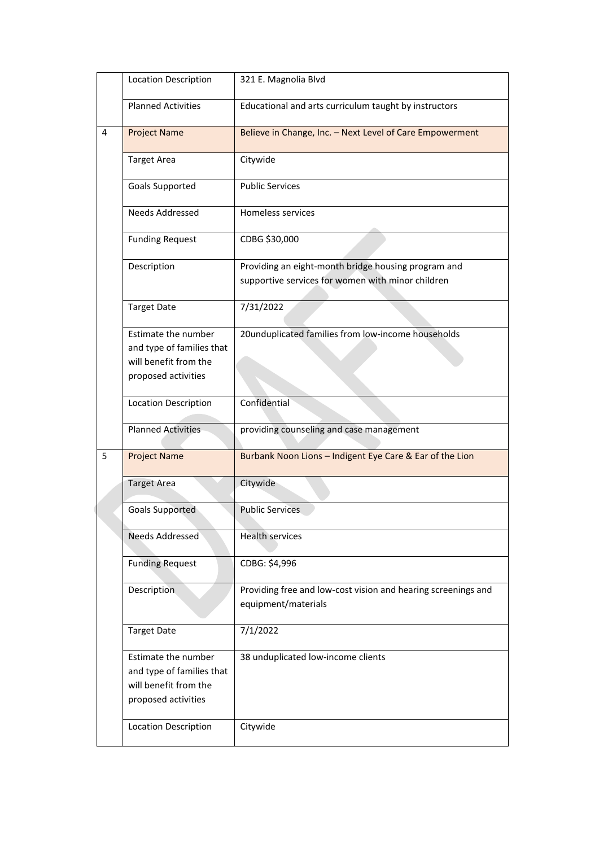|   | <b>Location Description</b>                                                                      | 321 E. Magnolia Blvd                                                                                     |
|---|--------------------------------------------------------------------------------------------------|----------------------------------------------------------------------------------------------------------|
|   | <b>Planned Activities</b>                                                                        | Educational and arts curriculum taught by instructors                                                    |
| 4 | <b>Project Name</b>                                                                              | Believe in Change, Inc. - Next Level of Care Empowerment                                                 |
|   | <b>Target Area</b>                                                                               | Citywide                                                                                                 |
|   | Goals Supported                                                                                  | <b>Public Services</b>                                                                                   |
|   | <b>Needs Addressed</b>                                                                           | Homeless services                                                                                        |
|   | <b>Funding Request</b>                                                                           | CDBG \$30,000                                                                                            |
|   | Description                                                                                      | Providing an eight-month bridge housing program and<br>supportive services for women with minor children |
|   | <b>Target Date</b>                                                                               | 7/31/2022                                                                                                |
|   | Estimate the number<br>and type of families that<br>will benefit from the<br>proposed activities | 20unduplicated families from low-income households                                                       |
|   | <b>Location Description</b>                                                                      | Confidential                                                                                             |
|   | <b>Planned Activities</b>                                                                        | providing counseling and case management                                                                 |
| 5 | <b>Project Name</b>                                                                              | Burbank Noon Lions - Indigent Eye Care & Ear of the Lion                                                 |
|   | <b>Target Area</b>                                                                               | Citywide                                                                                                 |
|   | <b>Goals Supported</b>                                                                           | <b>Public Services</b>                                                                                   |
|   | Needs Addressed                                                                                  | <b>Health services</b>                                                                                   |
|   | <b>Funding Request</b>                                                                           | CDBG: \$4,996                                                                                            |
|   | Description                                                                                      | Providing free and low-cost vision and hearing screenings and<br>equipment/materials                     |
|   | <b>Target Date</b>                                                                               | 7/1/2022                                                                                                 |
|   | Estimate the number<br>and type of families that<br>will benefit from the<br>proposed activities | 38 unduplicated low-income clients                                                                       |
|   | <b>Location Description</b>                                                                      | Citywide                                                                                                 |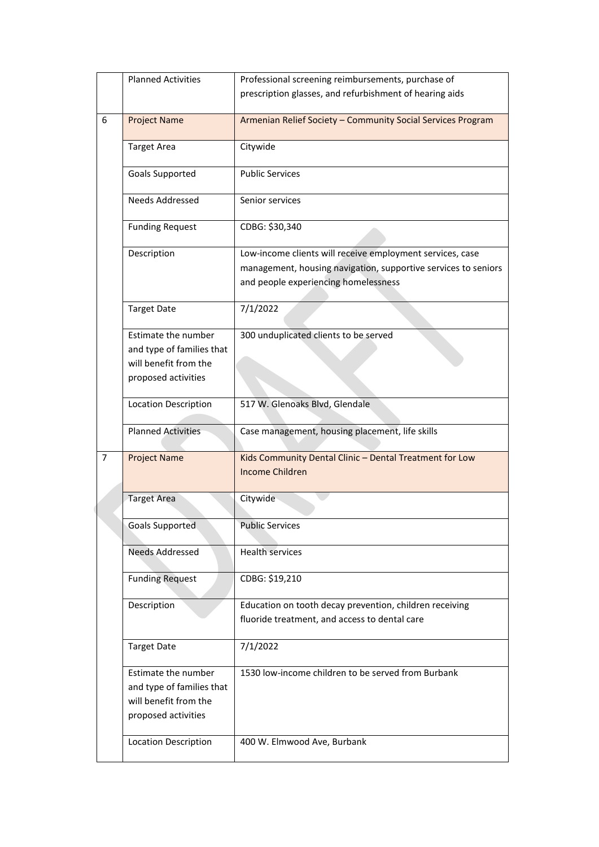|   | <b>Planned Activities</b>                                                                        | Professional screening reimbursements, purchase of                                                                                                                  |
|---|--------------------------------------------------------------------------------------------------|---------------------------------------------------------------------------------------------------------------------------------------------------------------------|
|   |                                                                                                  | prescription glasses, and refurbishment of hearing aids                                                                                                             |
|   |                                                                                                  |                                                                                                                                                                     |
| 6 | <b>Project Name</b>                                                                              | Armenian Relief Society - Community Social Services Program                                                                                                         |
|   | <b>Target Area</b>                                                                               | Citywide                                                                                                                                                            |
|   | Goals Supported                                                                                  | <b>Public Services</b>                                                                                                                                              |
|   | <b>Needs Addressed</b>                                                                           | Senior services                                                                                                                                                     |
|   | <b>Funding Request</b>                                                                           | CDBG: \$30,340                                                                                                                                                      |
|   | Description                                                                                      | Low-income clients will receive employment services, case<br>management, housing navigation, supportive services to seniors<br>and people experiencing homelessness |
|   | <b>Target Date</b>                                                                               | 7/1/2022                                                                                                                                                            |
|   | Estimate the number<br>and type of families that<br>will benefit from the<br>proposed activities | 300 unduplicated clients to be served                                                                                                                               |
|   | <b>Location Description</b>                                                                      | 517 W. Glenoaks Blvd, Glendale                                                                                                                                      |
|   | <b>Planned Activities</b>                                                                        | Case management, housing placement, life skills                                                                                                                     |
| 7 | <b>Project Name</b>                                                                              | Kids Community Dental Clinic - Dental Treatment for Low<br><b>Income Children</b>                                                                                   |
|   | <b>Target Area</b>                                                                               | Citywide                                                                                                                                                            |
|   | Goals Supported                                                                                  | Public Services                                                                                                                                                     |
|   | <b>Needs Addressed</b>                                                                           | <b>Health services</b>                                                                                                                                              |
|   | <b>Funding Request</b>                                                                           | CDBG: \$19,210                                                                                                                                                      |
|   | Description                                                                                      | Education on tooth decay prevention, children receiving<br>fluoride treatment, and access to dental care                                                            |
|   | <b>Target Date</b>                                                                               | 7/1/2022                                                                                                                                                            |
|   | Estimate the number<br>and type of families that<br>will benefit from the<br>proposed activities | 1530 low-income children to be served from Burbank                                                                                                                  |
|   | <b>Location Description</b>                                                                      | 400 W. Elmwood Ave, Burbank                                                                                                                                         |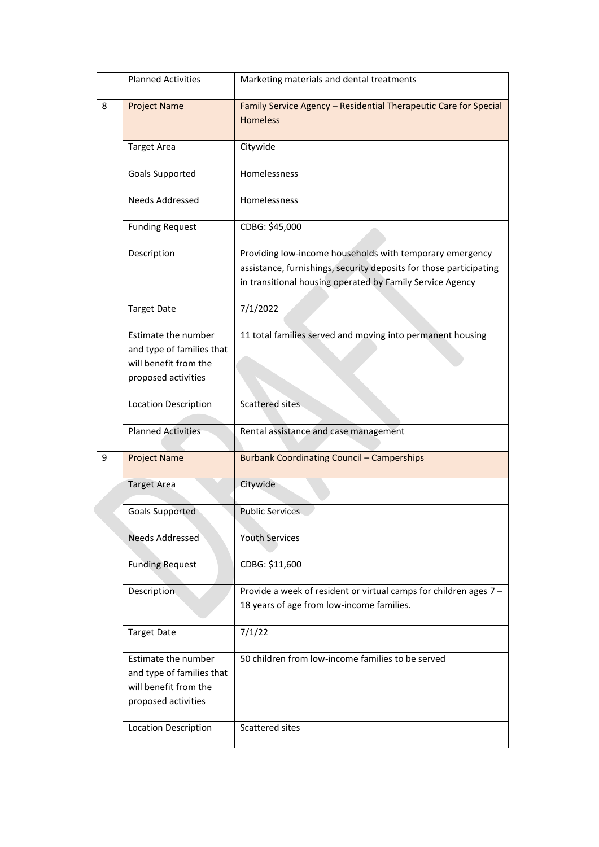|   | <b>Planned Activities</b>                                                                        | Marketing materials and dental treatments                                                                                                                                                   |
|---|--------------------------------------------------------------------------------------------------|---------------------------------------------------------------------------------------------------------------------------------------------------------------------------------------------|
| 8 | <b>Project Name</b>                                                                              | Family Service Agency - Residential Therapeutic Care for Special<br><b>Homeless</b>                                                                                                         |
|   | <b>Target Area</b>                                                                               | Citywide                                                                                                                                                                                    |
|   | Goals Supported                                                                                  | Homelessness                                                                                                                                                                                |
|   | Needs Addressed                                                                                  | Homelessness                                                                                                                                                                                |
|   | <b>Funding Request</b>                                                                           | CDBG: \$45,000                                                                                                                                                                              |
|   | Description                                                                                      | Providing low-income households with temporary emergency<br>assistance, furnishings, security deposits for those participating<br>in transitional housing operated by Family Service Agency |
|   | <b>Target Date</b>                                                                               | 7/1/2022                                                                                                                                                                                    |
|   | Estimate the number<br>and type of families that<br>will benefit from the<br>proposed activities | 11 total families served and moving into permanent housing                                                                                                                                  |
|   | <b>Location Description</b>                                                                      | Scattered sites                                                                                                                                                                             |
|   | <b>Planned Activities</b>                                                                        | Rental assistance and case management                                                                                                                                                       |
| 9 | <b>Project Name</b>                                                                              | <b>Burbank Coordinating Council - Camperships</b>                                                                                                                                           |
|   | <b>Target Area</b>                                                                               | Citywide                                                                                                                                                                                    |
|   | <b>Goals Supported</b>                                                                           | <b>Public Services</b>                                                                                                                                                                      |
|   | Needs Addressed                                                                                  | <b>Youth Services</b>                                                                                                                                                                       |
|   | <b>Funding Request</b>                                                                           | CDBG: \$11,600                                                                                                                                                                              |
|   | Description                                                                                      | Provide a week of resident or virtual camps for children ages 7 -<br>18 years of age from low-income families.                                                                              |
|   | <b>Target Date</b>                                                                               | 7/1/22                                                                                                                                                                                      |
|   | Estimate the number<br>and type of families that<br>will benefit from the<br>proposed activities | 50 children from low-income families to be served                                                                                                                                           |
|   | <b>Location Description</b>                                                                      | Scattered sites                                                                                                                                                                             |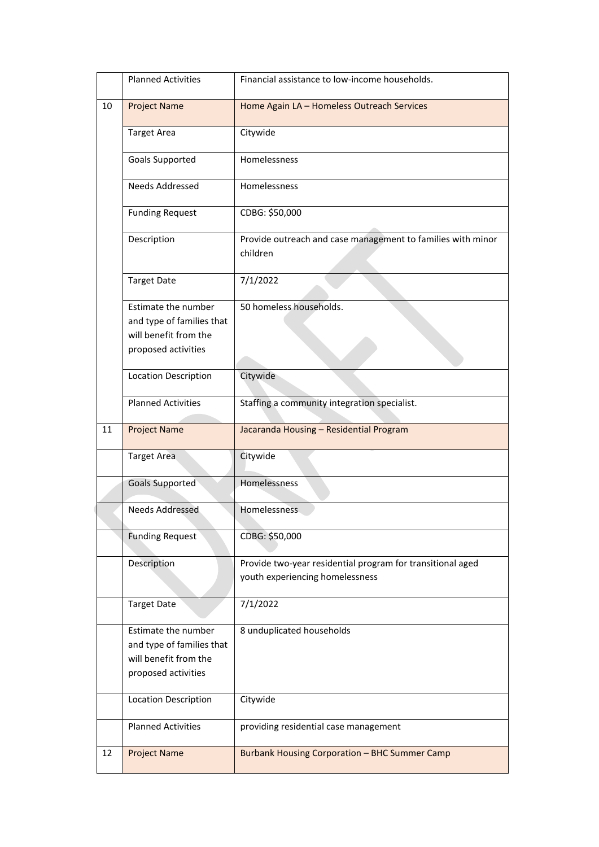|    | <b>Planned Activities</b>                                                                        | Financial assistance to low-income households.                                                |
|----|--------------------------------------------------------------------------------------------------|-----------------------------------------------------------------------------------------------|
| 10 | <b>Project Name</b>                                                                              | Home Again LA - Homeless Outreach Services                                                    |
|    | <b>Target Area</b>                                                                               | Citywide                                                                                      |
|    | Goals Supported                                                                                  | Homelessness                                                                                  |
|    | <b>Needs Addressed</b>                                                                           | Homelessness                                                                                  |
|    | <b>Funding Request</b>                                                                           | CDBG: \$50,000                                                                                |
|    | Description                                                                                      | Provide outreach and case management to families with minor<br>children                       |
|    | <b>Target Date</b>                                                                               | 7/1/2022                                                                                      |
|    | Estimate the number<br>and type of families that                                                 | 50 homeless households.                                                                       |
|    | will benefit from the                                                                            |                                                                                               |
|    | proposed activities                                                                              |                                                                                               |
|    | <b>Location Description</b>                                                                      | Citywide                                                                                      |
|    | <b>Planned Activities</b>                                                                        | Staffing a community integration specialist.                                                  |
| 11 | <b>Project Name</b>                                                                              | Jacaranda Housing - Residential Program                                                       |
|    | Target Area                                                                                      | Citywide                                                                                      |
|    | <b>Goals Supported</b>                                                                           | Homelessness                                                                                  |
|    | <b>Needs Addressed</b>                                                                           | Homelessness                                                                                  |
|    | <b>Funding Request</b>                                                                           | CDBG: \$50,000                                                                                |
|    | Description                                                                                      | Provide two-year residential program for transitional aged<br>youth experiencing homelessness |
|    | <b>Target Date</b>                                                                               | 7/1/2022                                                                                      |
|    | Estimate the number<br>and type of families that<br>will benefit from the<br>proposed activities | 8 unduplicated households                                                                     |
|    | Location Description                                                                             | Citywide                                                                                      |
|    | <b>Planned Activities</b>                                                                        | providing residential case management                                                         |
| 12 | <b>Project Name</b>                                                                              | <b>Burbank Housing Corporation - BHC Summer Camp</b>                                          |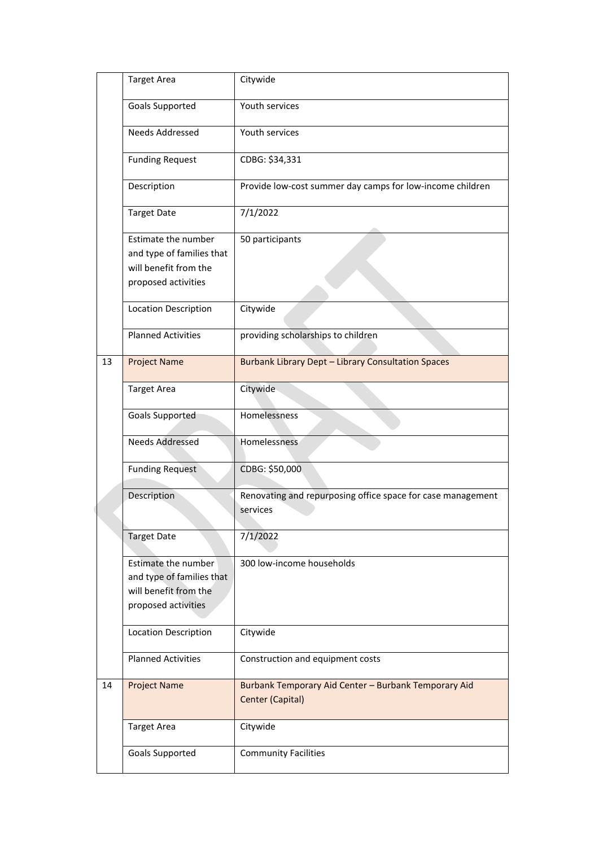|    | <b>Target Area</b>                                                                               | Citywide                                                                 |
|----|--------------------------------------------------------------------------------------------------|--------------------------------------------------------------------------|
|    | Goals Supported                                                                                  | Youth services                                                           |
|    | <b>Needs Addressed</b>                                                                           | Youth services                                                           |
|    | <b>Funding Request</b>                                                                           | CDBG: \$34,331                                                           |
|    | Description                                                                                      | Provide low-cost summer day camps for low-income children                |
|    | <b>Target Date</b>                                                                               | 7/1/2022                                                                 |
|    | Estimate the number<br>and type of families that<br>will benefit from the<br>proposed activities | 50 participants                                                          |
|    | Location Description                                                                             | Citywide                                                                 |
|    | <b>Planned Activities</b>                                                                        | providing scholarships to children                                       |
| 13 | <b>Project Name</b>                                                                              | <b>Burbank Library Dept - Library Consultation Spaces</b>                |
|    | <b>Target Area</b>                                                                               | Citywide                                                                 |
|    | <b>Goals Supported</b>                                                                           | Homelessness                                                             |
|    | <b>Needs Addressed</b>                                                                           | Homelessness                                                             |
|    | <b>Funding Request</b>                                                                           | CDBG: \$50,000                                                           |
|    | Description                                                                                      | Renovating and repurposing office space for case management<br>services  |
|    | <b>Target Date</b>                                                                               | 7/1/2022                                                                 |
|    | Estimate the number<br>and type of families that<br>will benefit from the<br>proposed activities | 300 low-income households                                                |
|    | Location Description                                                                             | Citywide                                                                 |
|    | <b>Planned Activities</b>                                                                        | Construction and equipment costs                                         |
| 14 | <b>Project Name</b>                                                                              | Burbank Temporary Aid Center - Burbank Temporary Aid<br>Center (Capital) |
|    | <b>Target Area</b>                                                                               | Citywide                                                                 |
|    | Goals Supported                                                                                  | <b>Community Facilities</b>                                              |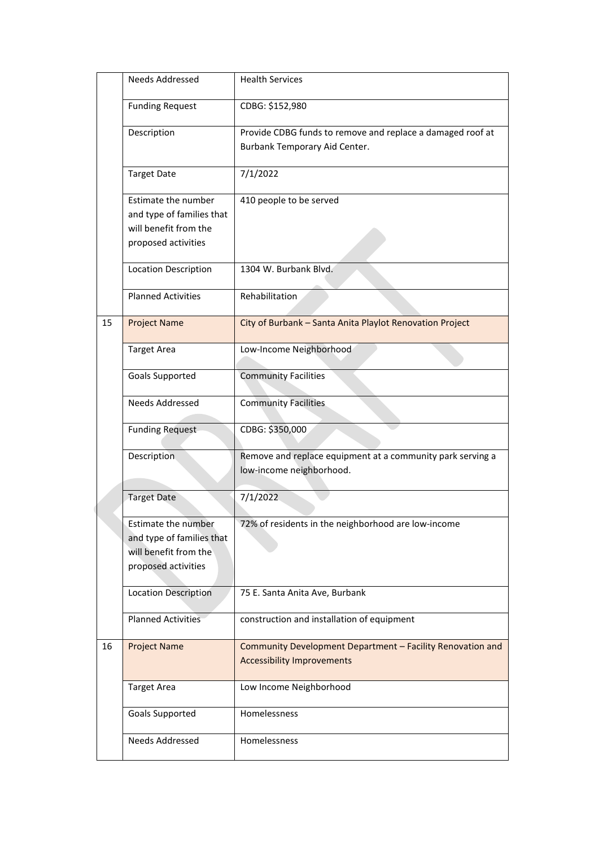|    | Needs Addressed                                                                                         | <b>Health Services</b>                                                                          |
|----|---------------------------------------------------------------------------------------------------------|-------------------------------------------------------------------------------------------------|
|    | <b>Funding Request</b>                                                                                  | CDBG: \$152,980                                                                                 |
|    | Description                                                                                             | Provide CDBG funds to remove and replace a damaged roof at<br>Burbank Temporary Aid Center.     |
|    | <b>Target Date</b>                                                                                      | 7/1/2022                                                                                        |
|    | Estimate the number<br>and type of families that<br>will benefit from the<br>proposed activities        | 410 people to be served                                                                         |
|    | <b>Location Description</b>                                                                             | 1304 W. Burbank Blvd.                                                                           |
|    | <b>Planned Activities</b>                                                                               | Rehabilitation                                                                                  |
| 15 | <b>Project Name</b>                                                                                     | City of Burbank - Santa Anita Playlot Renovation Project                                        |
|    | <b>Target Area</b>                                                                                      | Low-Income Neighborhood                                                                         |
|    | Goals Supported                                                                                         | <b>Community Facilities</b>                                                                     |
|    | Needs Addressed                                                                                         | <b>Community Facilities</b>                                                                     |
|    | <b>Funding Request</b>                                                                                  | CDBG: \$350,000                                                                                 |
|    | Description                                                                                             | Remove and replace equipment at a community park serving a<br>low-income neighborhood.          |
|    | <b>Target Date</b>                                                                                      | 7/1/2022                                                                                        |
|    | <b>Estimate the number</b><br>and type of families that<br>will benefit from the<br>proposed activities | 72% of residents in the neighborhood are low-income                                             |
|    | <b>Location Description</b>                                                                             | 75 E. Santa Anita Ave, Burbank                                                                  |
|    | <b>Planned Activities</b>                                                                               | construction and installation of equipment                                                      |
| 16 | <b>Project Name</b>                                                                                     | Community Development Department - Facility Renovation and<br><b>Accessibility Improvements</b> |
|    | <b>Target Area</b>                                                                                      | Low Income Neighborhood                                                                         |
|    | Goals Supported                                                                                         | Homelessness                                                                                    |
|    | Needs Addressed                                                                                         | Homelessness                                                                                    |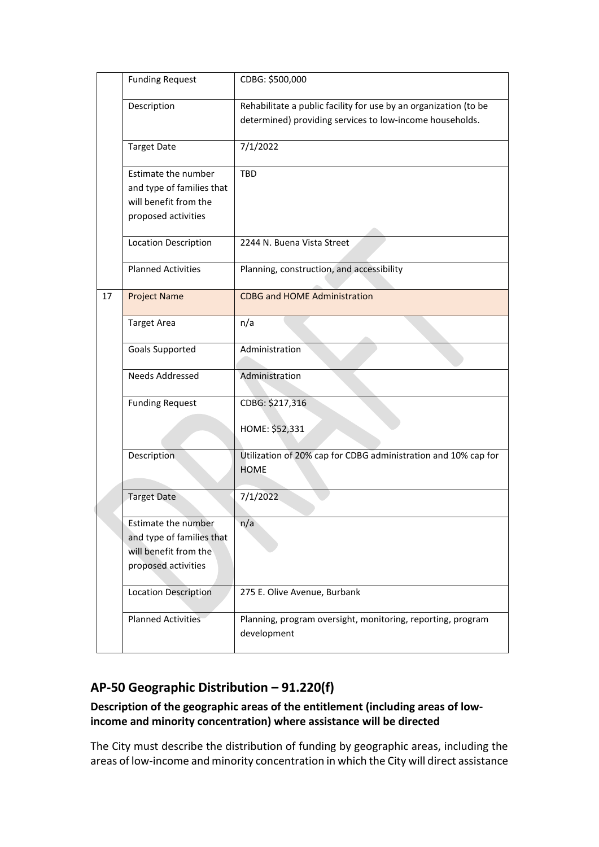|    | <b>Funding Request</b>                                                                           | CDBG: \$500,000                                                                                                              |
|----|--------------------------------------------------------------------------------------------------|------------------------------------------------------------------------------------------------------------------------------|
|    | Description                                                                                      | Rehabilitate a public facility for use by an organization (to be<br>determined) providing services to low-income households. |
|    | <b>Target Date</b>                                                                               | 7/1/2022                                                                                                                     |
|    | Estimate the number<br>and type of families that<br>will benefit from the<br>proposed activities | <b>TBD</b>                                                                                                                   |
|    | Location Description                                                                             | 2244 N. Buena Vista Street                                                                                                   |
|    | <b>Planned Activities</b>                                                                        | Planning, construction, and accessibility                                                                                    |
| 17 | <b>Project Name</b>                                                                              | <b>CDBG and HOME Administration</b>                                                                                          |
|    | <b>Target Area</b>                                                                               | n/a                                                                                                                          |
|    | Goals Supported                                                                                  | Administration                                                                                                               |
|    | Needs Addressed                                                                                  | Administration                                                                                                               |
|    | <b>Funding Request</b>                                                                           | CDBG: \$217,316<br>HOME: \$52,331                                                                                            |
|    | <b>Description</b>                                                                               | Utilization of 20% cap for CDBG administration and 10% cap for<br><b>HOME</b>                                                |
|    | <b>Target Date</b>                                                                               | 7/1/2022                                                                                                                     |
|    | Estimate the number<br>and type of families that<br>will benefit from the<br>proposed activities | n/a                                                                                                                          |
|    | <b>Location Description</b>                                                                      | 275 E. Olive Avenue, Burbank                                                                                                 |
|    | <b>Planned Activities</b>                                                                        | Planning, program oversight, monitoring, reporting, program<br>development                                                   |

# **AP-50 Geographic Distribution – 91.220(f)**

# **Description of the geographic areas of the entitlement (including areas of lowincome and minority concentration) where assistance will be directed**

The City must describe the distribution of funding by geographic areas, including the areas of low-income and minority concentration in which the City will direct assistance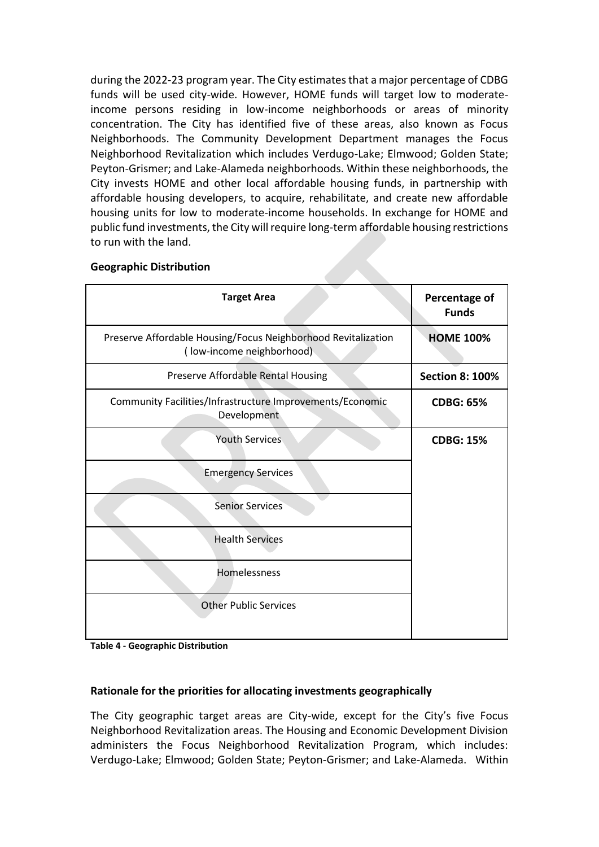during the 2022-23 program year. The City estimates that a major percentage of CDBG funds will be used city-wide. However, HOME funds will target low to moderateincome persons residing in low-income neighborhoods or areas of minority concentration. The City has identified five of these areas, also known as Focus Neighborhoods. The Community Development Department manages the Focus Neighborhood Revitalization which includes Verdugo-Lake; Elmwood; Golden State; Peyton-Grismer; and Lake-Alameda neighborhoods. Within these neighborhoods, the City invests HOME and other local affordable housing funds, in partnership with affordable housing developers, to acquire, rehabilitate, and create new affordable housing units for low to moderate-income households. In exchange for HOME and public fund investments, the City will require long-term affordable housing restrictions to run with the land.

# **Target Area Percentage of Percentage of Funds** Preserve Affordable Housing/Focus Neighborhood Revitalization ( low-income neighborhood) **HOME 100%** Preserve Affordable Rental Housing **Section 8: 100%** Community Facilities/Infrastructure Improvements/Economic Development **CDBG: 65%** Youth Services **CDBG: 15%** Emergency Services Senior Services Health Services Homelessness Other Public Services

#### **Geographic Distribution**

**Table 4 - Geographic Distribution**

#### **Rationale for the priorities for allocating investments geographically**

The City geographic target areas are City-wide, except for the City's five Focus Neighborhood Revitalization areas. The Housing and Economic Development Division administers the Focus Neighborhood Revitalization Program, which includes: Verdugo-Lake; Elmwood; Golden State; Peyton-Grismer; and Lake-Alameda. Within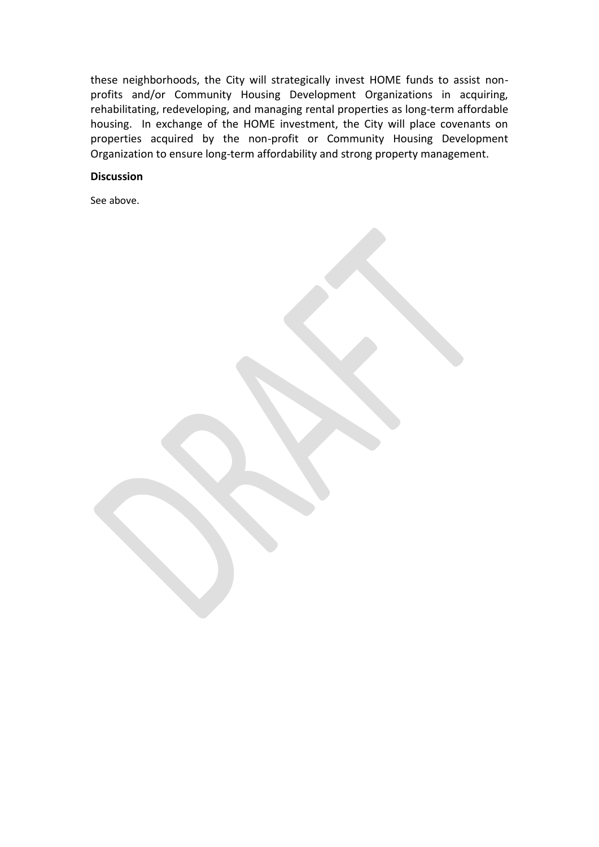these neighborhoods, the City will strategically invest HOME funds to assist nonprofits and/or Community Housing Development Organizations in acquiring, rehabilitating, redeveloping, and managing rental properties as long-term affordable housing. In exchange of the HOME investment, the City will place covenants on properties acquired by the non-profit or Community Housing Development Organization to ensure long-term affordability and strong property management.

#### **Discussion**

See above.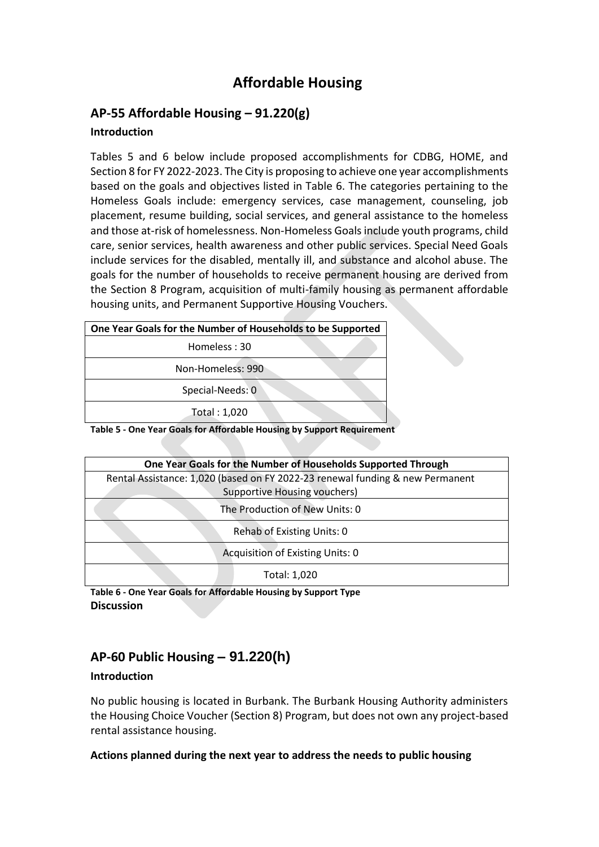# **Affordable Housing**

# **AP-55 Affordable Housing – 91.220(g)**

#### **Introduction**

Tables 5 and 6 below include proposed accomplishments for CDBG, HOME, and Section 8 for FY 2022-2023. The City is proposing to achieve one year accomplishments based on the goals and objectives listed in Table 6. The categories pertaining to the Homeless Goals include: emergency services, case management, counseling, job placement, resume building, social services, and general assistance to the homeless and those at-risk of homelessness. Non-Homeless Goals include youth programs, child care, senior services, health awareness and other public services. Special Need Goals include services for the disabled, mentally ill, and substance and alcohol abuse. The goals for the number of households to receive permanent housing are derived from the Section 8 Program, acquisition of multi-family housing as permanent affordable housing units, and Permanent Supportive Housing Vouchers.

| One Year Goals for the Number of Households to be Supported            |  |  |
|------------------------------------------------------------------------|--|--|
| Homeless: 30                                                           |  |  |
| Non-Homeless: 990                                                      |  |  |
| Special-Needs: 0                                                       |  |  |
| Total: 1,020                                                           |  |  |
| Table 5 - One Vear Goals for Affordable Housing by Support Pequirement |  |  |

**Table 5 - One Year Goals for Affordable Housing by Support Requirement**

| One Year Goals for the Number of Households Supported Through                 |  |  |
|-------------------------------------------------------------------------------|--|--|
| Rental Assistance: 1,020 (based on FY 2022-23 renewal funding & new Permanent |  |  |
| <b>Supportive Housing vouchers)</b>                                           |  |  |
| The Production of New Units: 0                                                |  |  |
| Rehab of Existing Units: 0                                                    |  |  |
| Acquisition of Existing Units: 0                                              |  |  |
| Total: 1,020                                                                  |  |  |

**Table 6 - One Year Goals for Affordable Housing by Support Type Discussion**

# **AP-60 Public Housing** *–* **91.220(h)**

#### **Introduction**

No public housing is located in Burbank. The Burbank Housing Authority administers the Housing Choice Voucher (Section 8) Program, but does not own any project-based rental assistance housing.

#### **Actions planned during the next year to address the needs to public housing**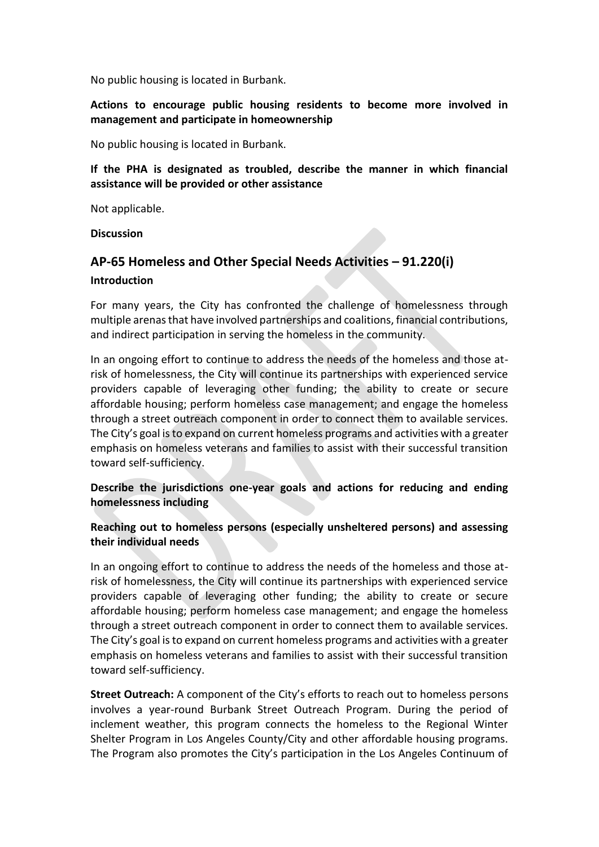No public housing is located in Burbank.

**Actions to encourage public housing residents to become more involved in management and participate in homeownership**

No public housing is located in Burbank.

**If the PHA is designated as troubled, describe the manner in which financial assistance will be provided or other assistance**

Not applicable.

**Discussion**

# **AP-65 Homeless and Other Special Needs Activities – 91.220(i)**

#### **Introduction**

For many years, the City has confronted the challenge of homelessness through multiple arenas that have involved partnerships and coalitions, financial contributions, and indirect participation in serving the homeless in the community.

In an ongoing effort to continue to address the needs of the homeless and those atrisk of homelessness, the City will continue its partnerships with experienced service providers capable of leveraging other funding; the ability to create or secure affordable housing; perform homeless case management; and engage the homeless through a street outreach component in order to connect them to available services. The City's goal is to expand on current homeless programs and activities with a greater emphasis on homeless veterans and families to assist with their successful transition toward self-sufficiency.

**Describe the jurisdictions one-year goals and actions for reducing and ending homelessness including**

**Reaching out to homeless persons (especially unsheltered persons) and assessing their individual needs**

In an ongoing effort to continue to address the needs of the homeless and those atrisk of homelessness, the City will continue its partnerships with experienced service providers capable of leveraging other funding; the ability to create or secure affordable housing; perform homeless case management; and engage the homeless through a street outreach component in order to connect them to available services. The City's goal is to expand on current homeless programs and activities with a greater emphasis on homeless veterans and families to assist with their successful transition toward self-sufficiency.

**Street Outreach:** A component of the City's efforts to reach out to homeless persons involves a year-round Burbank Street Outreach Program. During the period of inclement weather, this program connects the homeless to the Regional Winter Shelter Program in Los Angeles County/City and other affordable housing programs. The Program also promotes the City's participation in the Los Angeles Continuum of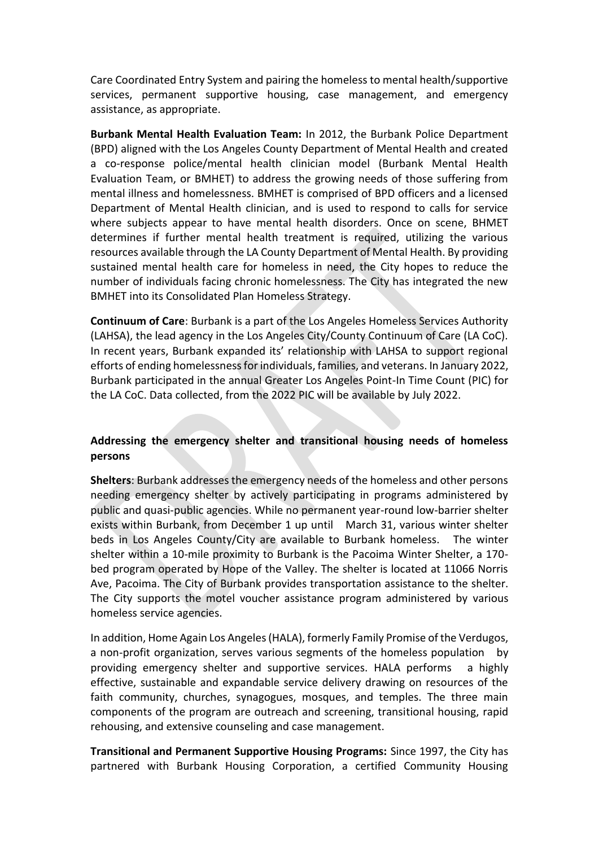Care Coordinated Entry System and pairing the homeless to mental health/supportive services, permanent supportive housing, case management, and emergency assistance, as appropriate.

**Burbank Mental Health Evaluation Team:** In 2012, the Burbank Police Department (BPD) aligned with the Los Angeles County Department of Mental Health and created a co-response police/mental health clinician model (Burbank Mental Health Evaluation Team, or BMHET) to address the growing needs of those suffering from mental illness and homelessness. BMHET is comprised of BPD officers and a licensed Department of Mental Health clinician, and is used to respond to calls for service where subjects appear to have mental health disorders. Once on scene, BHMET determines if further mental health treatment is required, utilizing the various resources available through the LA County Department of Mental Health. By providing sustained mental health care for homeless in need, the City hopes to reduce the number of individuals facing chronic homelessness. The City has integrated the new BMHET into its Consolidated Plan Homeless Strategy.

**Continuum of Care**: Burbank is a part of the Los Angeles Homeless Services Authority (LAHSA), the lead agency in the Los Angeles City/County Continuum of Care (LA CoC). In recent years, Burbank expanded its' relationship with LAHSA to support regional efforts of ending homelessness for individuals, families, and veterans. In January 2022, Burbank participated in the annual Greater Los Angeles Point-In Time Count (PIC) for the LA CoC. Data collected, from the 2022 PIC will be available by July 2022.

#### **Addressing the emergency shelter and transitional housing needs of homeless persons**

**Shelters**: Burbank addresses the emergency needs of the homeless and other persons needing emergency shelter by actively participating in programs administered by public and quasi-public agencies. While no permanent year-round low-barrier shelter exists within Burbank, from December 1 up until March 31, various winter shelter beds in Los Angeles County/City are available to Burbank homeless. The winter shelter within a 10-mile proximity to Burbank is the Pacoima Winter Shelter, a 170 bed program operated by Hope of the Valley. The shelter is located at 11066 Norris Ave, Pacoima. The City of Burbank provides transportation assistance to the shelter. The City supports the motel voucher assistance program administered by various homeless service agencies.

In addition, Home Again Los Angeles(HALA), formerly Family Promise of the Verdugos, a non-profit organization, serves various segments of the homeless population by providing emergency shelter and supportive services. HALA performs a highly effective, sustainable and expandable service delivery drawing on resources of the faith community, churches, synagogues, mosques, and temples. The three main components of the program are outreach and screening, transitional housing, rapid rehousing, and extensive counseling and case management.

**Transitional and Permanent Supportive Housing Programs:** Since 1997, the City has partnered with Burbank Housing Corporation, a certified Community Housing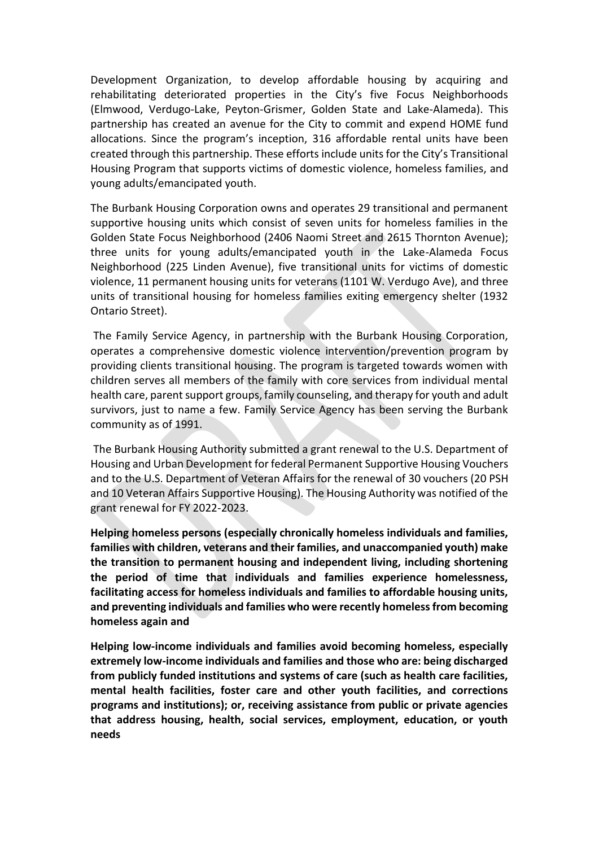Development Organization, to develop affordable housing by acquiring and rehabilitating deteriorated properties in the City's five Focus Neighborhoods (Elmwood, Verdugo-Lake, Peyton-Grismer, Golden State and Lake-Alameda). This partnership has created an avenue for the City to commit and expend HOME fund allocations. Since the program's inception, 316 affordable rental units have been created through this partnership. These efforts include units for the City's Transitional Housing Program that supports victims of domestic violence, homeless families, and young adults/emancipated youth.

The Burbank Housing Corporation owns and operates 29 transitional and permanent supportive housing units which consist of seven units for homeless families in the Golden State Focus Neighborhood (2406 Naomi Street and 2615 Thornton Avenue); three units for young adults/emancipated youth in the Lake-Alameda Focus Neighborhood (225 Linden Avenue), five transitional units for victims of domestic violence, 11 permanent housing units for veterans (1101 W. Verdugo Ave), and three units of transitional housing for homeless families exiting emergency shelter (1932 Ontario Street).

The Family Service Agency, in partnership with the Burbank Housing Corporation, operates a comprehensive domestic violence intervention/prevention program by providing clients transitional housing. The program is targeted towards women with children serves all members of the family with core services from individual mental health care, parent support groups, family counseling, and therapy for youth and adult survivors, just to name a few. Family Service Agency has been serving the Burbank community as of 1991.

The Burbank Housing Authority submitted a grant renewal to the U.S. Department of Housing and Urban Development for federal Permanent Supportive Housing Vouchers and to the U.S. Department of Veteran Affairs for the renewal of 30 vouchers (20 PSH and 10 Veteran Affairs Supportive Housing). The Housing Authority was notified of the grant renewal for FY 2022-2023.

**Helping homeless persons (especially chronically homeless individuals and families, families with children, veterans and their families, and unaccompanied youth) make the transition to permanent housing and independent living, including shortening the period of time that individuals and families experience homelessness, facilitating access for homeless individuals and families to affordable housing units, and preventing individuals and families who were recently homeless from becoming homeless again and**

**Helping low-income individuals and families avoid becoming homeless, especially extremely low-income individuals and families and those who are: being discharged from publicly funded institutions and systems of care (such as health care facilities, mental health facilities, foster care and other youth facilities, and corrections programs and institutions); or, receiving assistance from public or private agencies that address housing, health, social services, employment, education, or youth needs**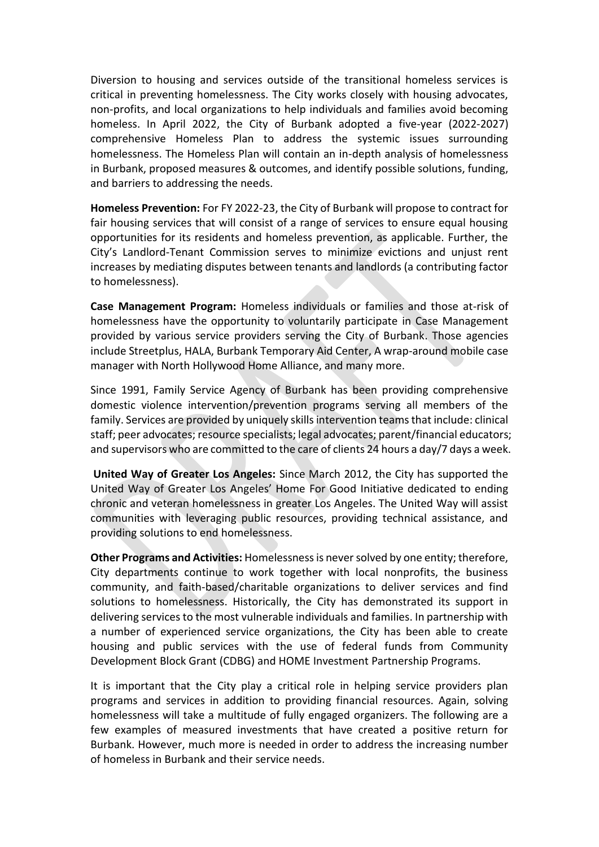Diversion to housing and services outside of the transitional homeless services is critical in preventing homelessness. The City works closely with housing advocates, non-profits, and local organizations to help individuals and families avoid becoming homeless. In April 2022, the City of Burbank adopted a five-year (2022-2027) comprehensive Homeless Plan to address the systemic issues surrounding homelessness. The Homeless Plan will contain an in-depth analysis of homelessness in Burbank, proposed measures & outcomes, and identify possible solutions, funding, and barriers to addressing the needs.

**Homeless Prevention:** For FY 2022-23, the City of Burbank will propose to contract for fair housing services that will consist of a range of services to ensure equal housing opportunities for its residents and homeless prevention, as applicable. Further, the City's Landlord-Tenant Commission serves to minimize evictions and unjust rent increases by mediating disputes between tenants and landlords (a contributing factor to homelessness).

**Case Management Program:** Homeless individuals or families and those at-risk of homelessness have the opportunity to voluntarily participate in Case Management provided by various service providers serving the City of Burbank. Those agencies include Streetplus, HALA, Burbank Temporary Aid Center, A wrap-around mobile case manager with North Hollywood Home Alliance, and many more.

Since 1991, Family Service Agency of Burbank has been providing comprehensive domestic violence intervention/prevention programs serving all members of the family. Services are provided by uniquely skills intervention teams that include: clinical staff; peer advocates; resource specialists; legal advocates; parent/financial educators; and supervisors who are committed to the care of clients 24 hours a day/7 days a week.

**United Way of Greater Los Angeles:** Since March 2012, the City has supported the United Way of Greater Los Angeles' Home For Good Initiative dedicated to ending chronic and veteran homelessness in greater Los Angeles. The United Way will assist communities with leveraging public resources, providing technical assistance, and providing solutions to end homelessness.

**Other Programs and Activities:** Homelessness is never solved by one entity; therefore, City departments continue to work together with local nonprofits, the business community, and faith-based/charitable organizations to deliver services and find solutions to homelessness. Historically, the City has demonstrated its support in delivering services to the most vulnerable individuals and families. In partnership with a number of experienced service organizations, the City has been able to create housing and public services with the use of federal funds from Community Development Block Grant (CDBG) and HOME Investment Partnership Programs.

It is important that the City play a critical role in helping service providers plan programs and services in addition to providing financial resources. Again, solving homelessness will take a multitude of fully engaged organizers. The following are a few examples of measured investments that have created a positive return for Burbank. However, much more is needed in order to address the increasing number of homeless in Burbank and their service needs.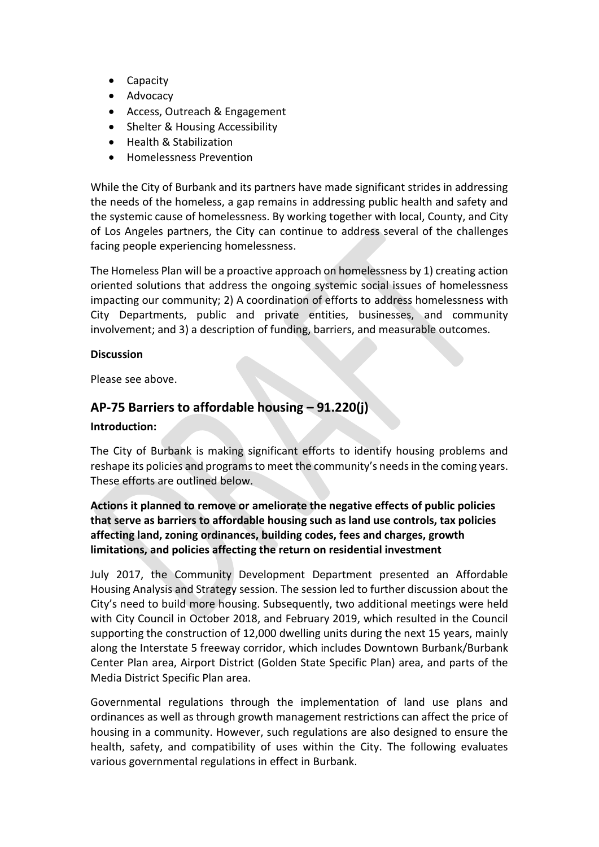- Capacity
- Advocacy
- Access, Outreach & Engagement
- Shelter & Housing Accessibility
- Health & Stabilization
- Homelessness Prevention

While the City of Burbank and its partners have made significant strides in addressing the needs of the homeless, a gap remains in addressing public health and safety and the systemic cause of homelessness. By working together with local, County, and City of Los Angeles partners, the City can continue to address several of the challenges facing people experiencing homelessness.

The Homeless Plan will be a proactive approach on homelessness by 1) creating action oriented solutions that address the ongoing systemic social issues of homelessness impacting our community; 2) A coordination of efforts to address homelessness with City Departments, public and private entities, businesses, and community involvement; and 3) a description of funding, barriers, and measurable outcomes.

#### **Discussion**

Please see above.

# **AP-75 Barriers to affordable housing – 91.220(j)**

#### **Introduction:**

The City of Burbank is making significant efforts to identify housing problems and reshape its policies and programs to meet the community's needs in the coming years. These efforts are outlined below.

# **Actions it planned to remove or ameliorate the negative effects of public policies that serve as barriers to affordable housing such as land use controls, tax policies affecting land, zoning ordinances, building codes, fees and charges, growth limitations, and policies affecting the return on residential investment**

July 2017, the Community Development Department presented an Affordable Housing Analysis and Strategy session. The session led to further discussion about the City's need to build more housing. Subsequently, two additional meetings were held with City Council in October 2018, and February 2019, which resulted in the Council supporting the construction of 12,000 dwelling units during the next 15 years, mainly along the Interstate 5 freeway corridor, which includes Downtown Burbank/Burbank Center Plan area, Airport District (Golden State Specific Plan) area, and parts of the Media District Specific Plan area.

Governmental regulations through the implementation of land use plans and ordinances as well as through growth management restrictions can affect the price of housing in a community. However, such regulations are also designed to ensure the health, safety, and compatibility of uses within the City. The following evaluates various governmental regulations in effect in Burbank.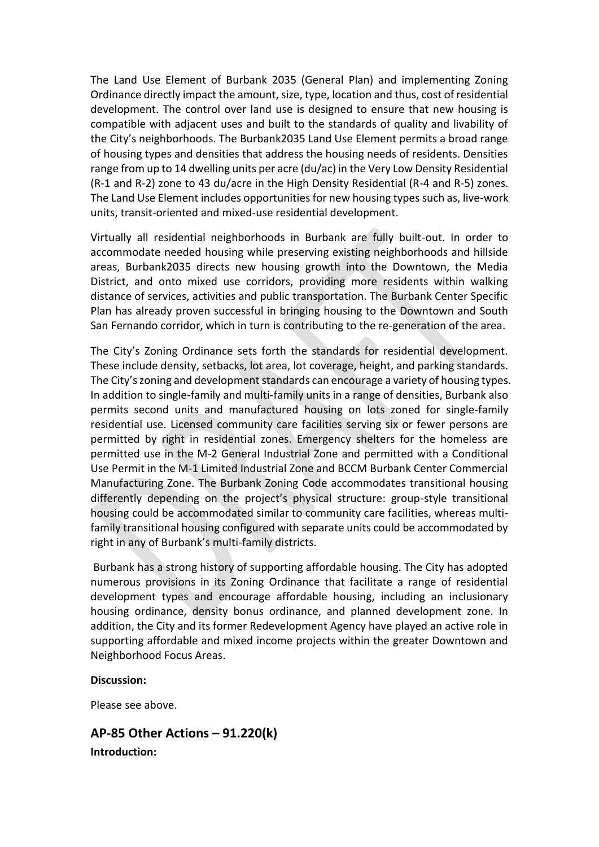The Land Use Element of Burbank 2035 (General Plan) and implementing Zoning Ordinance directly impact the amount, size, type, location and thus, cost of residential development. The control over land use is designed to ensure that new housing is compatible with adjacent uses and built to the standards of quality and livability of the City's neighborhoods. The Burbank2035 Land Use Element permits a broad range of housing types and densities that address the housing needs of residents. Densities range from up to 14 dwelling units per acre (du/ac) in the Very Low Density Residential (R-1 and R-2) zone to 43 du/acre in the High Density Residential (R-4 and R-5) zones. The Land Use Element includes opportunities for new housing types such as, live-work units, transit-oriented and mixed-use residential development.

Virtually all residential neighborhoods in Burbank are fully built-out. In order to accommodate needed housing while preserving existing neighborhoods and hillside areas, Burbank2035 directs new housing growth into the Downtown, the Media District, and onto mixed use corridors, providing more residents within walking distance of services, activities and public transportation. The Burbank Center Specific Plan has already proven successful in bringing housing to the Downtown and South San Fernando corridor, which in turn is contributing to the re-generation of the area.

The City's Zoning Ordinance sets forth the standards for residential development. These include density, setbacks, lot area, lot coverage, height, and parking standards. The City's zoning and development standards can encourage a variety of housing types. In addition to single-family and multi-family units in a range of densities, Burbank also permits second units and manufactured housing on lots zoned for single-family residential use. Licensed community care facilities serving six or fewer persons are permitted by right in residential zones. Emergency shelters for the homeless are permitted use in the M-2 General Industrial Zone and permitted with a Conditional Use Permit in the M-1 Limited Industrial Zone and BCCM Burbank Center Commercial Manufacturing Zone. The Burbank Zoning Code accommodates transitional housing differently depending on the project's physical structure: group-style transitional housing could be accommodated similar to community care facilities, whereas multifamily transitional housing configured with separate units could be accommodated by right in any of Burbank's multi-family districts.

Burbank has a strong history of supporting affordable housing. The City has adopted numerous provisions in its Zoning Ordinance that facilitate a range of residential development types and encourage affordable housing, including an inclusionary housing ordinance, density bonus ordinance, and planned development zone. In addition, the City and its former Redevelopment Agency have played an active role in supporting affordable and mixed income projects within the greater Downtown and Neighborhood Focus Areas.

#### **Discussion:**

Please see above.

**AP-85 Other Actions – 91.220(k) Introduction:**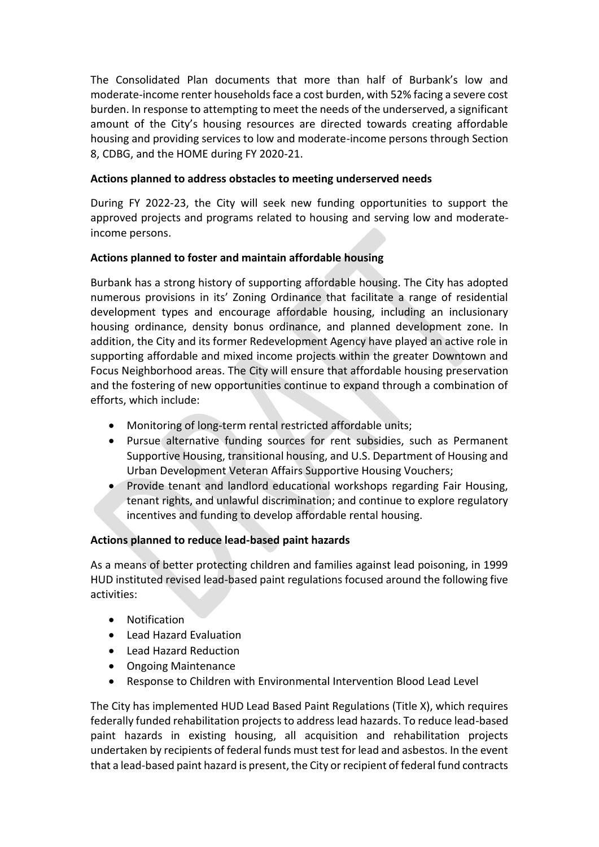The Consolidated Plan documents that more than half of Burbank's low and moderate-income renter households face a cost burden, with 52% facing a severe cost burden. In response to attempting to meet the needs of the underserved, a significant amount of the City's housing resources are directed towards creating affordable housing and providing services to low and moderate-income persons through Section 8, CDBG, and the HOME during FY 2020-21.

#### **Actions planned to address obstacles to meeting underserved needs**

During FY 2022-23, the City will seek new funding opportunities to support the approved projects and programs related to housing and serving low and moderateincome persons.

#### **Actions planned to foster and maintain affordable housing**

Burbank has a strong history of supporting affordable housing. The City has adopted numerous provisions in its' Zoning Ordinance that facilitate a range of residential development types and encourage affordable housing, including an inclusionary housing ordinance, density bonus ordinance, and planned development zone. In addition, the City and its former Redevelopment Agency have played an active role in supporting affordable and mixed income projects within the greater Downtown and Focus Neighborhood areas. The City will ensure that affordable housing preservation and the fostering of new opportunities continue to expand through a combination of efforts, which include:

- Monitoring of long-term rental restricted affordable units;
- Pursue alternative funding sources for rent subsidies, such as Permanent Supportive Housing, transitional housing, and U.S. Department of Housing and Urban Development Veteran Affairs Supportive Housing Vouchers;
- Provide tenant and landlord educational workshops regarding Fair Housing, tenant rights, and unlawful discrimination; and continue to explore regulatory incentives and funding to develop affordable rental housing.

## **Actions planned to reduce lead-based paint hazards**

As a means of better protecting children and families against lead poisoning, in 1999 HUD instituted revised lead-based paint regulations focused around the following five activities:

- Notification
- Lead Hazard Evaluation
- Lead Hazard Reduction
- Ongoing Maintenance
- Response to Children with Environmental Intervention Blood Lead Level

The City has implemented HUD Lead Based Paint Regulations (Title X), which requires federally funded rehabilitation projects to address lead hazards. To reduce lead-based paint hazards in existing housing, all acquisition and rehabilitation projects undertaken by recipients of federal funds must test for lead and asbestos. In the event that a lead-based paint hazard is present, the City or recipient of federal fund contracts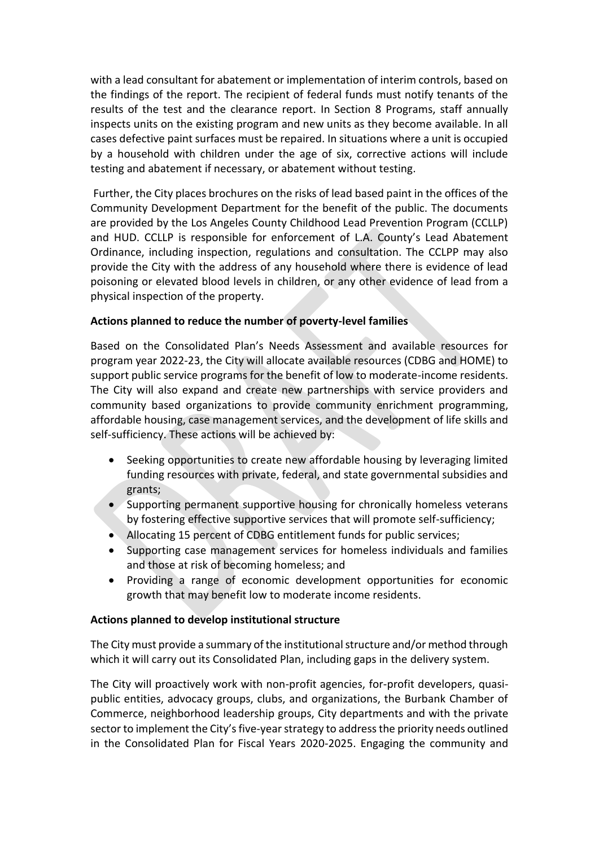with a lead consultant for abatement or implementation of interim controls, based on the findings of the report. The recipient of federal funds must notify tenants of the results of the test and the clearance report. In Section 8 Programs, staff annually inspects units on the existing program and new units as they become available. In all cases defective paint surfaces must be repaired. In situations where a unit is occupied by a household with children under the age of six, corrective actions will include testing and abatement if necessary, or abatement without testing.

Further, the City places brochures on the risks of lead based paint in the offices of the Community Development Department for the benefit of the public. The documents are provided by the Los Angeles County Childhood Lead Prevention Program (CCLLP) and HUD. CCLLP is responsible for enforcement of L.A. County's Lead Abatement Ordinance, including inspection, regulations and consultation. The CCLPP may also provide the City with the address of any household where there is evidence of lead poisoning or elevated blood levels in children, or any other evidence of lead from a physical inspection of the property.

#### **Actions planned to reduce the number of poverty-level families**

Based on the Consolidated Plan's Needs Assessment and available resources for program year 2022-23, the City will allocate available resources (CDBG and HOME) to support public service programs for the benefit of low to moderate-income residents. The City will also expand and create new partnerships with service providers and community based organizations to provide community enrichment programming, affordable housing, case management services, and the development of life skills and self-sufficiency. These actions will be achieved by:

- Seeking opportunities to create new affordable housing by leveraging limited funding resources with private, federal, and state governmental subsidies and grants;
- Supporting permanent supportive housing for chronically homeless veterans by fostering effective supportive services that will promote self-sufficiency;
- Allocating 15 percent of CDBG entitlement funds for public services;
- Supporting case management services for homeless individuals and families and those at risk of becoming homeless; and
- Providing a range of economic development opportunities for economic growth that may benefit low to moderate income residents.

## **Actions planned to develop institutional structure**

The City must provide a summary of the institutional structure and/or method through which it will carry out its Consolidated Plan, including gaps in the delivery system.

The City will proactively work with non-profit agencies, for-profit developers, quasipublic entities, advocacy groups, clubs, and organizations, the Burbank Chamber of Commerce, neighborhood leadership groups, City departments and with the private sector to implement the City's five-year strategy to address the priority needs outlined in the Consolidated Plan for Fiscal Years 2020-2025. Engaging the community and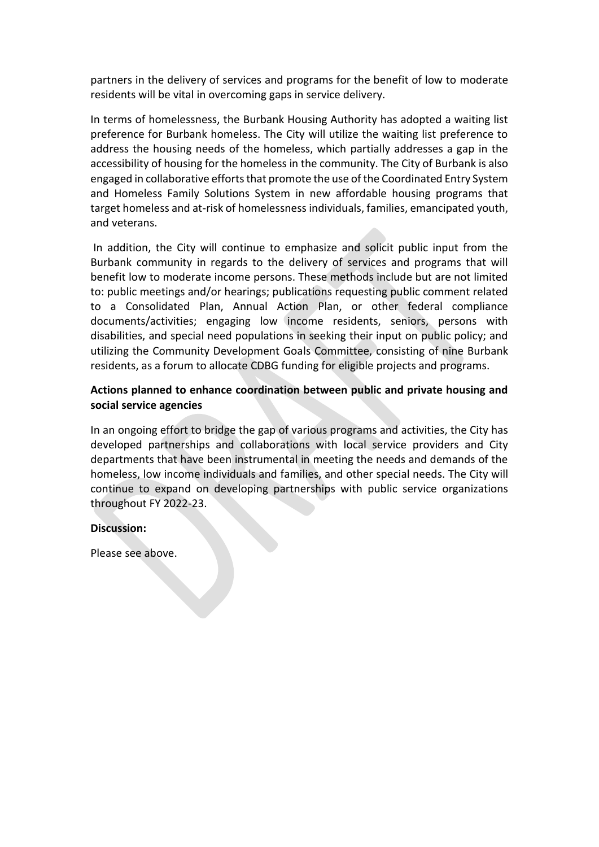partners in the delivery of services and programs for the benefit of low to moderate residents will be vital in overcoming gaps in service delivery.

In terms of homelessness, the Burbank Housing Authority has adopted a waiting list preference for Burbank homeless. The City will utilize the waiting list preference to address the housing needs of the homeless, which partially addresses a gap in the accessibility of housing for the homeless in the community. The City of Burbank is also engaged in collaborative efforts that promote the use of the Coordinated Entry System and Homeless Family Solutions System in new affordable housing programs that target homeless and at-risk of homelessness individuals, families, emancipated youth, and veterans.

In addition, the City will continue to emphasize and solicit public input from the Burbank community in regards to the delivery of services and programs that will benefit low to moderate income persons. These methods include but are not limited to: public meetings and/or hearings; publications requesting public comment related to a Consolidated Plan, Annual Action Plan, or other federal compliance documents/activities; engaging low income residents, seniors, persons with disabilities, and special need populations in seeking their input on public policy; and utilizing the Community Development Goals Committee, consisting of nine Burbank residents, as a forum to allocate CDBG funding for eligible projects and programs.

#### **Actions planned to enhance coordination between public and private housing and social service agencies**

In an ongoing effort to bridge the gap of various programs and activities, the City has developed partnerships and collaborations with local service providers and City departments that have been instrumental in meeting the needs and demands of the homeless, low income individuals and families, and other special needs. The City will continue to expand on developing partnerships with public service organizations throughout FY 2022-23.

#### **Discussion:**

Please see above.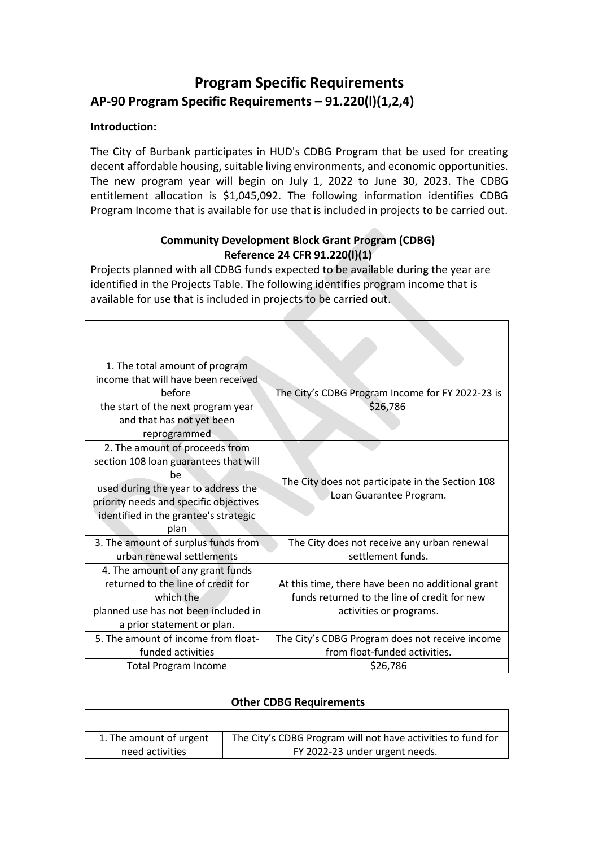# **Program Specific Requirements AP-90 Program Specific Requirements – 91.220(l)(1,2,4)**

# **Introduction:**

The City of Burbank participates in HUD's CDBG Program that be used for creating decent affordable housing, suitable living environments, and economic opportunities. The new program year will begin on July 1, 2022 to June 30, 2023. The CDBG entitlement allocation is \$1,045,092. The following information identifies CDBG Program Income that is available for use that is included in projects to be carried out.

# **Community Development Block Grant Program (CDBG) Reference 24 CFR 91.220(l)(1)**

Projects planned with all CDBG funds expected to be available during the year are identified in the Projects Table. The following identifies program income that is available for use that is included in projects to be carried out.

| 1. The total amount of program<br>income that will have been received<br>before<br>the start of the next program year<br>and that has not yet been<br>reprogrammed                                              | The City's CDBG Program Income for FY 2022-23 is<br>\$26,786                                                                 |
|-----------------------------------------------------------------------------------------------------------------------------------------------------------------------------------------------------------------|------------------------------------------------------------------------------------------------------------------------------|
| 2. The amount of proceeds from<br>section 108 loan guarantees that will<br>be<br>used during the year to address the<br>priority needs and specific objectives<br>identified in the grantee's strategic<br>plan | The City does not participate in the Section 108<br>Loan Guarantee Program.                                                  |
| 3. The amount of surplus funds from<br>urban renewal settlements                                                                                                                                                | The City does not receive any urban renewal<br>settlement funds.                                                             |
| 4. The amount of any grant funds<br>returned to the line of credit for<br>which the<br>planned use has not been included in<br>a prior statement or plan.                                                       | At this time, there have been no additional grant<br>funds returned to the line of credit for new<br>activities or programs. |
| 5. The amount of income from float-<br>funded activities                                                                                                                                                        | The City's CDBG Program does not receive income<br>from float-funded activities.                                             |
| <b>Total Program Income</b>                                                                                                                                                                                     | \$26,786                                                                                                                     |

## **Other CDBG Requirements**

| 1. The amount of urgent | The City's CDBG Program will not have activities to fund for |
|-------------------------|--------------------------------------------------------------|
| need activities         | FY 2022-23 under urgent needs.                               |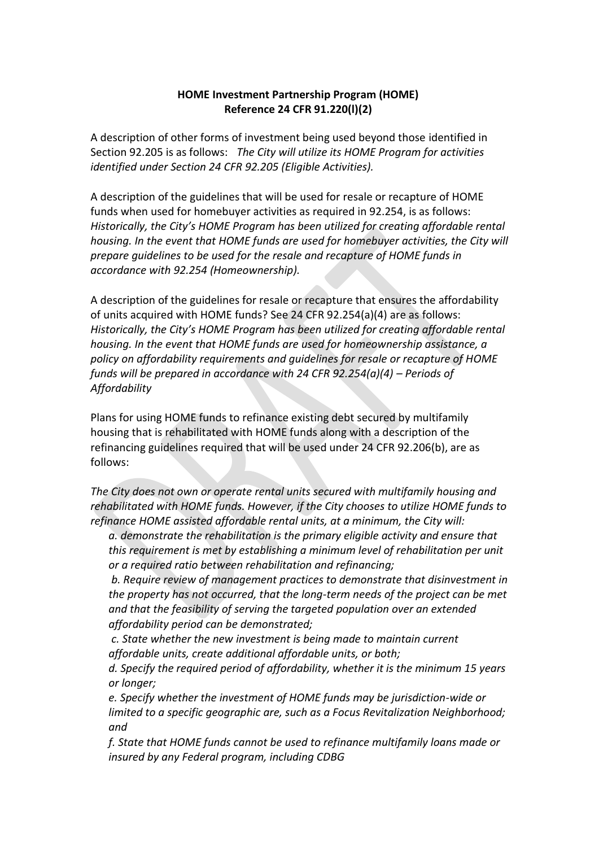#### **HOME Investment Partnership Program (HOME) Reference 24 CFR 91.220(l)(2)**

A description of other forms of investment being used beyond those identified in Section 92.205 is as follows: *The City will utilize its HOME Program for activities identified under Section 24 CFR 92.205 (Eligible Activities).*

A description of the guidelines that will be used for resale or recapture of HOME funds when used for homebuyer activities as required in 92.254, is as follows: *Historically, the City's HOME Program has been utilized for creating affordable rental housing. In the event that HOME funds are used for homebuyer activities, the City will prepare guidelines to be used for the resale and recapture of HOME funds in accordance with 92.254 (Homeownership).*

A description of the guidelines for resale or recapture that ensures the affordability of units acquired with HOME funds? See 24 CFR 92.254(a)(4) are as follows: *Historically, the City's HOME Program has been utilized for creating affordable rental housing. In the event that HOME funds are used for homeownership assistance, a policy on affordability requirements and guidelines for resale or recapture of HOME funds will be prepared in accordance with 24 CFR 92.254(a)(4) – Periods of Affordability*

Plans for using HOME funds to refinance existing debt secured by multifamily housing that is rehabilitated with HOME funds along with a description of the refinancing guidelines required that will be used under 24 CFR 92.206(b), are as follows:

*The City does not own or operate rental units secured with multifamily housing and rehabilitated with HOME funds. However, if the City chooses to utilize HOME funds to refinance HOME assisted affordable rental units, at a minimum, the City will:*

*a. demonstrate the rehabilitation is the primary eligible activity and ensure that this requirement is met by establishing a minimum level of rehabilitation per unit or a required ratio between rehabilitation and refinancing;*

*b. Require review of management practices to demonstrate that disinvestment in the property has not occurred, that the long-term needs of the project can be met and that the feasibility of serving the targeted population over an extended affordability period can be demonstrated;*

*c. State whether the new investment is being made to maintain current affordable units, create additional affordable units, or both;*

*d. Specify the required period of affordability, whether it is the minimum 15 years or longer;*

*e. Specify whether the investment of HOME funds may be jurisdiction-wide or limited to a specific geographic are, such as a Focus Revitalization Neighborhood; and*

*f. State that HOME funds cannot be used to refinance multifamily loans made or insured by any Federal program, including CDBG*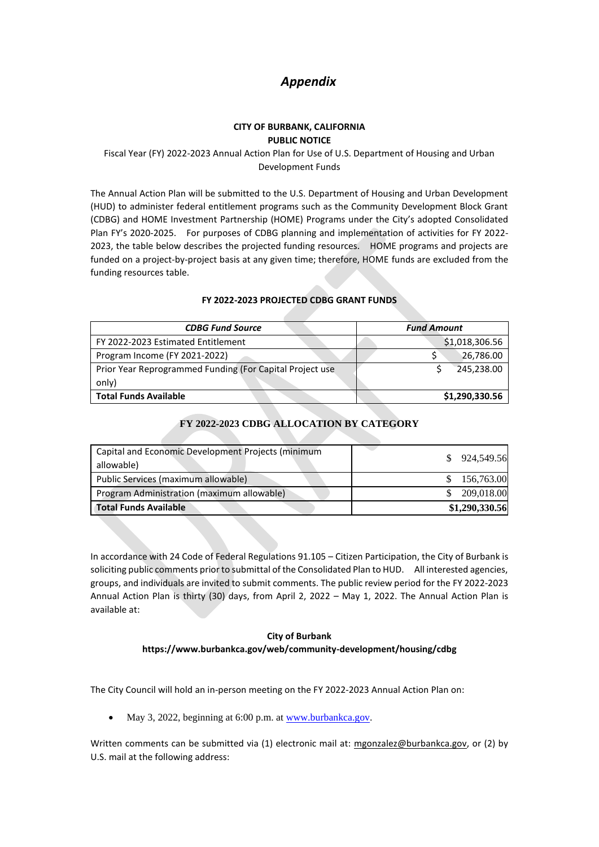# *Appendix*

#### **CITY OF BURBANK, CALIFORNIA PUBLIC NOTICE**

#### Fiscal Year (FY) 2022-2023 Annual Action Plan for Use of U.S. Department of Housing and Urban Development Funds

The Annual Action Plan will be submitted to the U.S. Department of Housing and Urban Development (HUD) to administer federal entitlement programs such as the Community Development Block Grant (CDBG) and HOME Investment Partnership (HOME) Programs under the City's adopted Consolidated Plan FY's 2020-2025. For purposes of CDBG planning and implementation of activities for FY 2022- 2023, the table below describes the projected funding resources. HOME programs and projects are funded on a project-by-project basis at any given time; therefore, HOME funds are excluded from the funding resources table.

#### **FY 2022-2023 PROJECTED CDBG GRANT FUNDS**

| <b>CDBG Fund Source</b>                                  | <b>Fund Amount</b> |
|----------------------------------------------------------|--------------------|
| FY 2022-2023 Estimated Entitlement                       | \$1,018,306.56     |
| Program Income (FY 2021-2022)                            | 26,786.00          |
| Prior Year Reprogrammed Funding (For Capital Project use | 245,238.00         |
| only)                                                    |                    |
| <b>Total Funds Available</b>                             | \$1,290,330.56     |

#### **FY 2022-2023 CDBG ALLOCATION BY CATEGORY**

| Capital and Economic Development Projects (minimum<br>allowable) | \$ 924,549.56  |
|------------------------------------------------------------------|----------------|
| Public Services (maximum allowable)                              | 156,763.00     |
| Program Administration (maximum allowable)                       | 209,018.00     |
| Total Funds Available                                            | \$1,290,330.56 |

In accordance with 24 Code of Federal Regulations 91.105 – Citizen Participation, the City of Burbank is soliciting public comments prior to submittal of the Consolidated Plan to HUD. All interested agencies, groups, and individuals are invited to submit comments. The public review period for the FY 2022-2023 Annual Action Plan is thirty (30) days, from April 2, 2022 – May 1, 2022. The Annual Action Plan is available at:

#### **City of Burbank https://www.burbankca.gov/web/community-development/housing/cdbg**

The City Council will hold an in-person meeting on the FY 2022-2023 Annual Action Plan on:

• May 3, 2022, beginning at 6:00 p.m. at [www.burbankca.gov.](http://www.burbankca.gov/)

Written comments can be submitted via (1) electronic mail at: [mgonzalez@burbankca.gov,](mailto:mgonzalez@burbankca.gov) or (2) by U.S. mail at the following address: